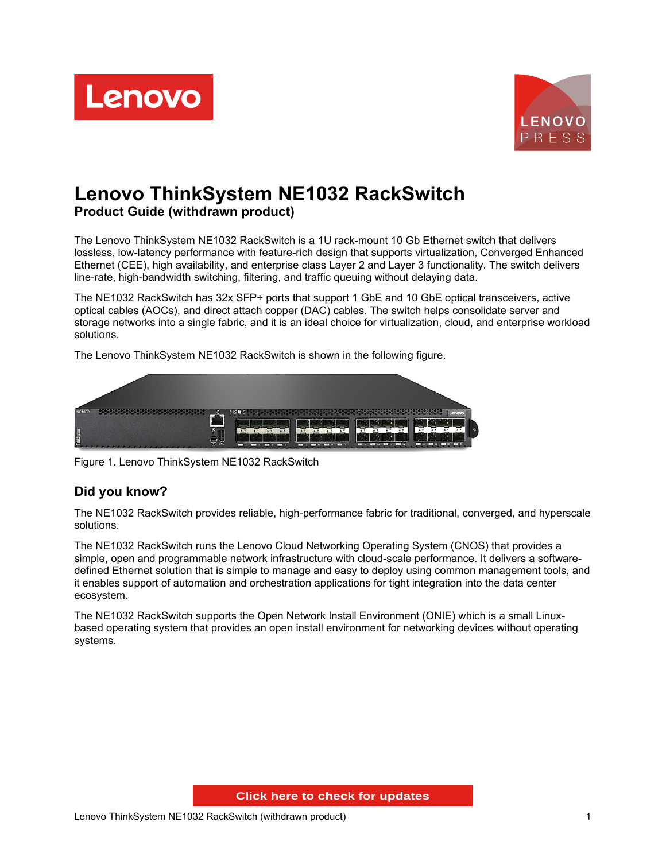



# **Lenovo ThinkSystem NE1032 RackSwitch Product Guide (withdrawn product)**

The Lenovo ThinkSystem NE1032 RackSwitch is a 1U rack-mount 10 Gb Ethernet switch that delivers lossless, low-latency performance with feature-rich design that supports virtualization, Converged Enhanced Ethernet (CEE), high availability, and enterprise class Layer 2 and Layer 3 functionality. The switch delivers line-rate, high-bandwidth switching, filtering, and traffic queuing without delaying data.

The NE1032 RackSwitch has 32x SFP+ ports that support 1 GbE and 10 GbE optical transceivers, active optical cables (AOCs), and direct attach copper (DAC) cables. The switch helps consolidate server and storage networks into a single fabric, and it is an ideal choice for virtualization, cloud, and enterprise workload solutions.

The Lenovo ThinkSystem NE1032 RackSwitch is shown in the following figure.



Figure 1. Lenovo ThinkSystem NE1032 RackSwitch

## **Did you know?**

The NE1032 RackSwitch provides reliable, high-performance fabric for traditional, converged, and hyperscale solutions.

The NE1032 RackSwitch runs the Lenovo Cloud Networking Operating System (CNOS) that provides a simple, open and programmable network infrastructure with cloud-scale performance. It delivers a softwaredefined Ethernet solution that is simple to manage and easy to deploy using common management tools, and it enables support of automation and orchestration applications for tight integration into the data center ecosystem.

The NE1032 RackSwitch supports the Open Network Install Environment (ONIE) which is a small Linuxbased operating system that provides an open install environment for networking devices without operating systems.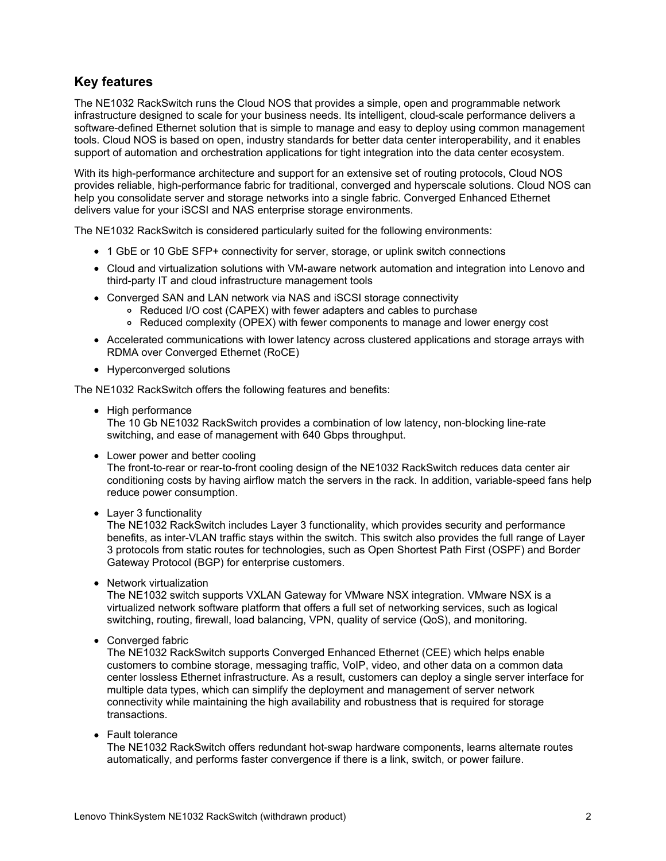## **Key features**

The NE1032 RackSwitch runs the Cloud NOS that provides a simple, open and programmable network infrastructure designed to scale for your business needs. Its intelligent, cloud-scale performance delivers a software-defined Ethernet solution that is simple to manage and easy to deploy using common management tools. Cloud NOS is based on open, industry standards for better data center interoperability, and it enables support of automation and orchestration applications for tight integration into the data center ecosystem.

With its high-performance architecture and support for an extensive set of routing protocols, Cloud NOS provides reliable, high-performance fabric for traditional, converged and hyperscale solutions. Cloud NOS can help you consolidate server and storage networks into a single fabric. Converged Enhanced Ethernet delivers value for your iSCSI and NAS enterprise storage environments.

The NE1032 RackSwitch is considered particularly suited for the following environments:

- 1 GbE or 10 GbE SFP+ connectivity for server, storage, or uplink switch connections
- Cloud and virtualization solutions with VM-aware network automation and integration into Lenovo and third-party IT and cloud infrastructure management tools
- Converged SAN and LAN network via NAS and iSCSI storage connectivity
	- Reduced I/O cost (CAPEX) with fewer adapters and cables to purchase
	- Reduced complexity (OPEX) with fewer components to manage and lower energy cost
- Accelerated communications with lower latency across clustered applications and storage arrays with RDMA over Converged Ethernet (RoCE)
- Hyperconverged solutions

The NE1032 RackSwitch offers the following features and benefits:

• High performance

The 10 Gb NE1032 RackSwitch provides a combination of low latency, non-blocking line-rate switching, and ease of management with 640 Gbps throughput.

• Lower power and better cooling

The front-to-rear or rear-to-front cooling design of the NE1032 RackSwitch reduces data center air conditioning costs by having airflow match the servers in the rack. In addition, variable-speed fans help reduce power consumption.

• Layer 3 functionality

The NE1032 RackSwitch includes Layer 3 functionality, which provides security and performance benefits, as inter-VLAN traffic stays within the switch. This switch also provides the full range of Layer 3 protocols from static routes for technologies, such as Open Shortest Path First (OSPF) and Border Gateway Protocol (BGP) for enterprise customers.

• Network virtualization

The NE1032 switch supports VXLAN Gateway for VMware NSX integration. VMware NSX is a virtualized network software platform that offers a full set of networking services, such as logical switching, routing, firewall, load balancing, VPN, quality of service (QoS), and monitoring.

• Converged fabric

The NE1032 RackSwitch supports Converged Enhanced Ethernet (CEE) which helps enable customers to combine storage, messaging traffic, VoIP, video, and other data on a common data center lossless Ethernet infrastructure. As a result, customers can deploy a single server interface for multiple data types, which can simplify the deployment and management of server network connectivity while maintaining the high availability and robustness that is required for storage transactions.

• Fault tolerance

The NE1032 RackSwitch offers redundant hot-swap hardware components, learns alternate routes automatically, and performs faster convergence if there is a link, switch, or power failure.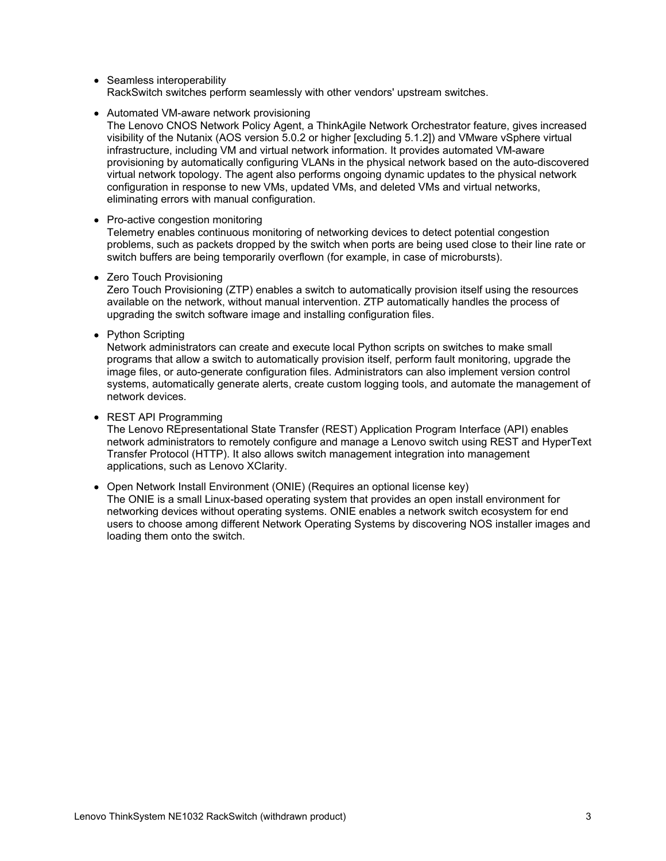• Seamless interoperability RackSwitch switches perform seamlessly with other vendors' upstream switches.

- Automated VM-aware network provisioning
	- The Lenovo CNOS Network Policy Agent, a ThinkAgile Network Orchestrator feature, gives increased visibility of the Nutanix (AOS version 5.0.2 or higher [excluding 5.1.2]) and VMware vSphere virtual infrastructure, including VM and virtual network information. It provides automated VM-aware provisioning by automatically configuring VLANs in the physical network based on the auto-discovered virtual network topology. The agent also performs ongoing dynamic updates to the physical network configuration in response to new VMs, updated VMs, and deleted VMs and virtual networks, eliminating errors with manual configuration.
- Pro-active congestion monitoring

Telemetry enables continuous monitoring of networking devices to detect potential congestion problems, such as packets dropped by the switch when ports are being used close to their line rate or switch buffers are being temporarily overflown (for example, in case of microbursts).

• Zero Touch Provisioning

Zero Touch Provisioning (ZTP) enables a switch to automatically provision itself using the resources available on the network, without manual intervention. ZTP automatically handles the process of upgrading the switch software image and installing configuration files.

• Python Scripting

Network administrators can create and execute local Python scripts on switches to make small programs that allow a switch to automatically provision itself, perform fault monitoring, upgrade the image files, or auto-generate configuration files. Administrators can also implement version control systems, automatically generate alerts, create custom logging tools, and automate the management of network devices.

• REST API Programming

The Lenovo REpresentational State Transfer (REST) Application Program Interface (API) enables network administrators to remotely configure and manage a Lenovo switch using REST and HyperText Transfer Protocol (HTTP). It also allows switch management integration into management applications, such as Lenovo XClarity.

Open Network Install Environment (ONIE) (Requires an optional license key)

The ONIE is a small Linux-based operating system that provides an open install environment for networking devices without operating systems. ONIE enables a network switch ecosystem for end users to choose among different Network Operating Systems by discovering NOS installer images and loading them onto the switch.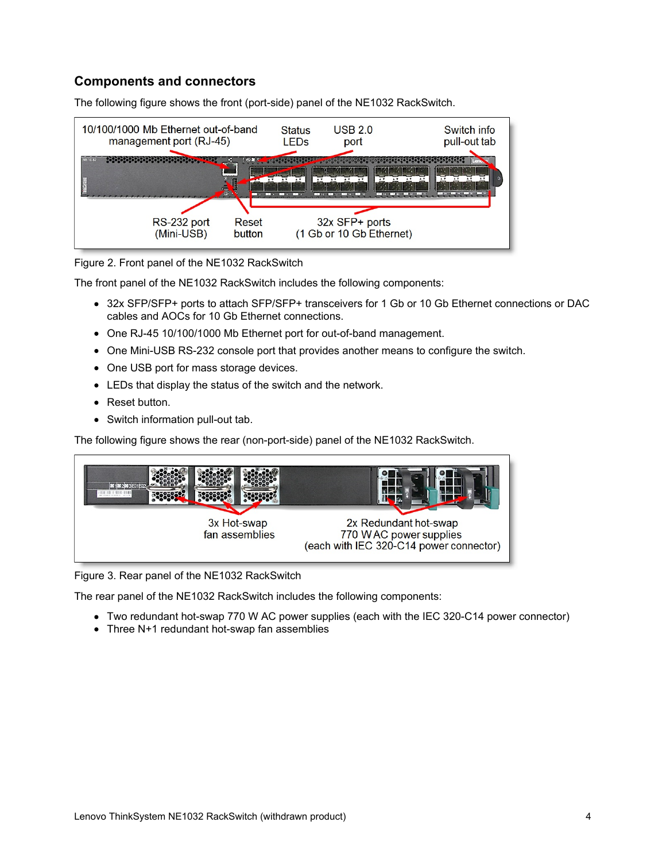# **Components and connectors**



The following figure shows the front (port-side) panel of the NE1032 RackSwitch.

Figure 2. Front panel of the NE1032 RackSwitch

The front panel of the NE1032 RackSwitch includes the following components:

- 32x SFP/SFP+ ports to attach SFP/SFP+ transceivers for 1 Gb or 10 Gb Ethernet connections or DAC cables and AOCs for 10 Gb Ethernet connections.
- One RJ-45 10/100/1000 Mb Ethernet port for out-of-band management.
- One Mini-USB RS-232 console port that provides another means to configure the switch.
- One USB port for mass storage devices.
- LEDs that display the status of the switch and the network.
- Reset button.
- Switch information pull-out tab.

The following figure shows the rear (non-port-side) panel of the NE1032 RackSwitch.



Figure 3. Rear panel of the NE1032 RackSwitch

The rear panel of the NE1032 RackSwitch includes the following components:

- Two redundant hot-swap 770 W AC power supplies (each with the IEC 320-C14 power connector)
- Three N+1 redundant hot-swap fan assemblies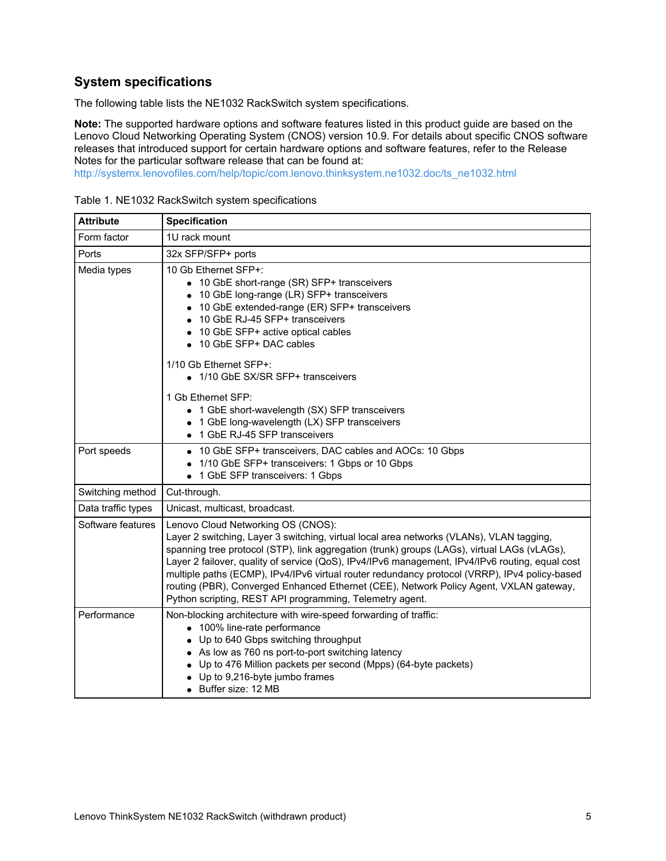# **System specifications**

The following table lists the NE1032 RackSwitch system specifications.

**Note:** The supported hardware options and software features listed in this product guide are based on the Lenovo Cloud Networking Operating System (CNOS) version 10.9. For details about specific CNOS software releases that introduced support for certain hardware options and software features, refer to the Release Notes for the particular software release that can be found at:

[http://systemx.lenovofiles.com/help/topic/com.lenovo.thinksystem.ne1032.doc/ts\\_ne1032.html](http://systemx.lenovofiles.com/help/topic/com.lenovo.thinksystem.ne1032.doc/ts_ne1032.html)

| <b>Attribute</b>   | <b>Specification</b>                                                                                                                                                                                                                                                                                                                                                                                                                                                                                                                                                                    |
|--------------------|-----------------------------------------------------------------------------------------------------------------------------------------------------------------------------------------------------------------------------------------------------------------------------------------------------------------------------------------------------------------------------------------------------------------------------------------------------------------------------------------------------------------------------------------------------------------------------------------|
| Form factor        | 1U rack mount                                                                                                                                                                                                                                                                                                                                                                                                                                                                                                                                                                           |
| Ports              | 32x SFP/SFP+ ports                                                                                                                                                                                                                                                                                                                                                                                                                                                                                                                                                                      |
| Media types        | 10 Gb Ethernet SFP+:<br>• 10 GbE short-range (SR) SFP+ transceivers<br>10 GbE long-range (LR) SFP+ transceivers<br>10 GbE extended-range (ER) SFP+ transceivers<br>10 GbE RJ-45 SFP+ transceivers<br>10 GbE SFP+ active optical cables<br>10 GbE SFP+ DAC cables                                                                                                                                                                                                                                                                                                                        |
|                    | 1/10 Gb Ethernet SFP+:<br>• 1/10 GbE SX/SR SFP+ transceivers                                                                                                                                                                                                                                                                                                                                                                                                                                                                                                                            |
|                    | 1 Gb Ethernet SFP:<br>• 1 GbE short-wavelength (SX) SFP transceivers<br>1 GbE long-wavelength (LX) SFP transceivers<br>1 GbE RJ-45 SFP transceivers                                                                                                                                                                                                                                                                                                                                                                                                                                     |
| Port speeds        | • 10 GbE SFP+ transceivers, DAC cables and AOCs: 10 Gbps<br>1/10 GbE SFP+ transceivers: 1 Gbps or 10 Gbps<br>• 1 GbE SFP transceivers: 1 Gbps                                                                                                                                                                                                                                                                                                                                                                                                                                           |
| Switching method   | Cut-through.                                                                                                                                                                                                                                                                                                                                                                                                                                                                                                                                                                            |
| Data traffic types | Unicast, multicast, broadcast.                                                                                                                                                                                                                                                                                                                                                                                                                                                                                                                                                          |
| Software features  | Lenovo Cloud Networking OS (CNOS):<br>Layer 2 switching, Layer 3 switching, virtual local area networks (VLANs), VLAN tagging,<br>spanning tree protocol (STP), link aggregation (trunk) groups (LAGs), virtual LAGs (vLAGs),<br>Layer 2 failover, quality of service (QoS), IPv4/IPv6 management, IPv4/IPv6 routing, equal cost<br>multiple paths (ECMP), IPv4/IPv6 virtual router redundancy protocol (VRRP), IPv4 policy-based<br>routing (PBR), Converged Enhanced Ethernet (CEE), Network Policy Agent, VXLAN gateway,<br>Python scripting, REST API programming, Telemetry agent. |
| Performance        | Non-blocking architecture with wire-speed forwarding of traffic:<br>• 100% line-rate performance<br>Up to 640 Gbps switching throughput<br>• As low as 760 ns port-to-port switching latency<br>Up to 476 Million packets per second (Mpps) (64-byte packets)<br>Up to 9,216-byte jumbo frames<br>• Buffer size: 12 MB                                                                                                                                                                                                                                                                  |

Table 1. NE1032 RackSwitch system specifications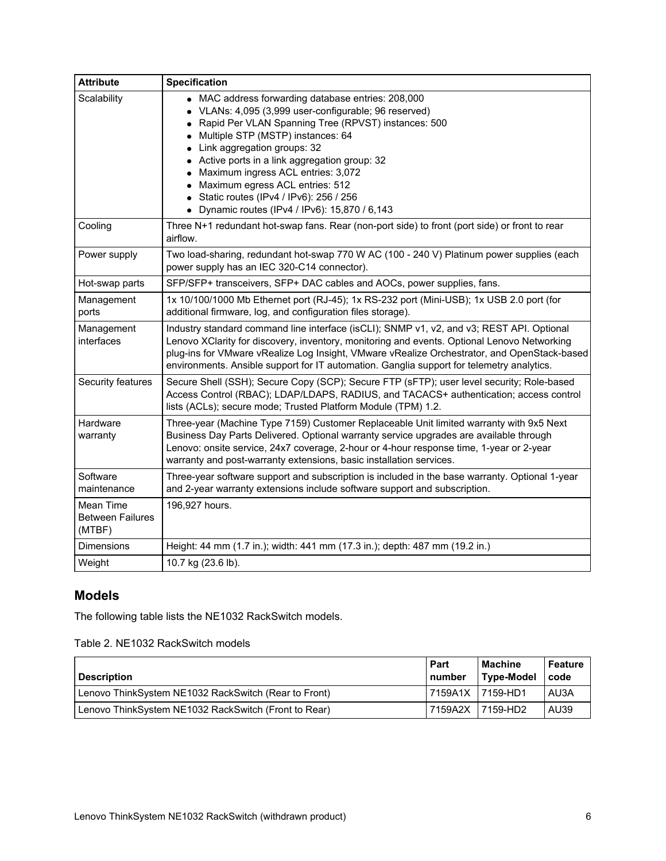| <b>Attribute</b>                               | <b>Specification</b>                                                                                                                                                                                                                                                                                                                                                                                                                                                                           |
|------------------------------------------------|------------------------------------------------------------------------------------------------------------------------------------------------------------------------------------------------------------------------------------------------------------------------------------------------------------------------------------------------------------------------------------------------------------------------------------------------------------------------------------------------|
| Scalability                                    | • MAC address forwarding database entries: 208,000<br>VLANs: 4,095 (3,999 user-configurable; 96 reserved)<br>$\bullet$<br>Rapid Per VLAN Spanning Tree (RPVST) instances: 500<br>Multiple STP (MSTP) instances: 64<br>Link aggregation groups: 32<br>Active ports in a link aggregation group: 32<br>Maximum ingress ACL entries: 3,072<br>Maximum egress ACL entries: 512<br>Static routes (IPv4 / IPv6): 256 / 256<br>$\bullet$<br>Dynamic routes (IPv4 / IPv6): 15,870 / 6,143<br>$\bullet$ |
| Cooling                                        | Three N+1 redundant hot-swap fans. Rear (non-port side) to front (port side) or front to rear<br>airflow.                                                                                                                                                                                                                                                                                                                                                                                      |
| Power supply                                   | Two load-sharing, redundant hot-swap 770 W AC (100 - 240 V) Platinum power supplies (each<br>power supply has an IEC 320-C14 connector).                                                                                                                                                                                                                                                                                                                                                       |
| Hot-swap parts                                 | SFP/SFP+ transceivers, SFP+ DAC cables and AOCs, power supplies, fans.                                                                                                                                                                                                                                                                                                                                                                                                                         |
| Management<br>ports                            | 1x 10/100/1000 Mb Ethernet port (RJ-45); 1x RS-232 port (Mini-USB); 1x USB 2.0 port (for<br>additional firmware, log, and configuration files storage).                                                                                                                                                                                                                                                                                                                                        |
| Management<br>interfaces                       | Industry standard command line interface (isCLI); SNMP v1, v2, and v3; REST API. Optional<br>Lenovo XClarity for discovery, inventory, monitoring and events. Optional Lenovo Networking<br>plug-ins for VMware vRealize Log Insight, VMware vRealize Orchestrator, and OpenStack-based<br>environments. Ansible support for IT automation. Ganglia support for telemetry analytics.                                                                                                           |
| Security features                              | Secure Shell (SSH); Secure Copy (SCP); Secure FTP (sFTP); user level security; Role-based<br>Access Control (RBAC); LDAP/LDAPS, RADIUS, and TACACS+ authentication; access control<br>lists (ACLs); secure mode; Trusted Platform Module (TPM) 1.2.                                                                                                                                                                                                                                            |
| Hardware<br>warranty                           | Three-year (Machine Type 7159) Customer Replaceable Unit limited warranty with 9x5 Next<br>Business Day Parts Delivered. Optional warranty service upgrades are available through<br>Lenovo: onsite service, 24x7 coverage, 2-hour or 4-hour response time, 1-year or 2-year<br>warranty and post-warranty extensions, basic installation services.                                                                                                                                            |
| Software<br>maintenance                        | Three-year software support and subscription is included in the base warranty. Optional 1-year<br>and 2-year warranty extensions include software support and subscription.                                                                                                                                                                                                                                                                                                                    |
| Mean Time<br><b>Between Failures</b><br>(MTBF) | 196,927 hours.                                                                                                                                                                                                                                                                                                                                                                                                                                                                                 |
| <b>Dimensions</b>                              | Height: 44 mm (1.7 in.); width: 441 mm (17.3 in.); depth: 487 mm (19.2 in.)                                                                                                                                                                                                                                                                                                                                                                                                                    |
| Weight                                         | 10.7 kg (23.6 lb).                                                                                                                                                                                                                                                                                                                                                                                                                                                                             |

# **Models**

The following table lists the NE1032 RackSwitch models.

Table 2. NE1032 RackSwitch models

| <b>Description</b>                                   | l Part<br>l number | <b>Machine</b><br>Type-Model | <b>Feature</b><br>code |
|------------------------------------------------------|--------------------|------------------------------|------------------------|
| Lenovo ThinkSystem NE1032 RackSwitch (Rear to Front) | 17159A1X 17159-HD1 |                              | AU3A                   |
| Lenovo ThinkSystem NE1032 RackSwitch (Front to Rear) | 7159A2X 17159-HD2  |                              | AU39                   |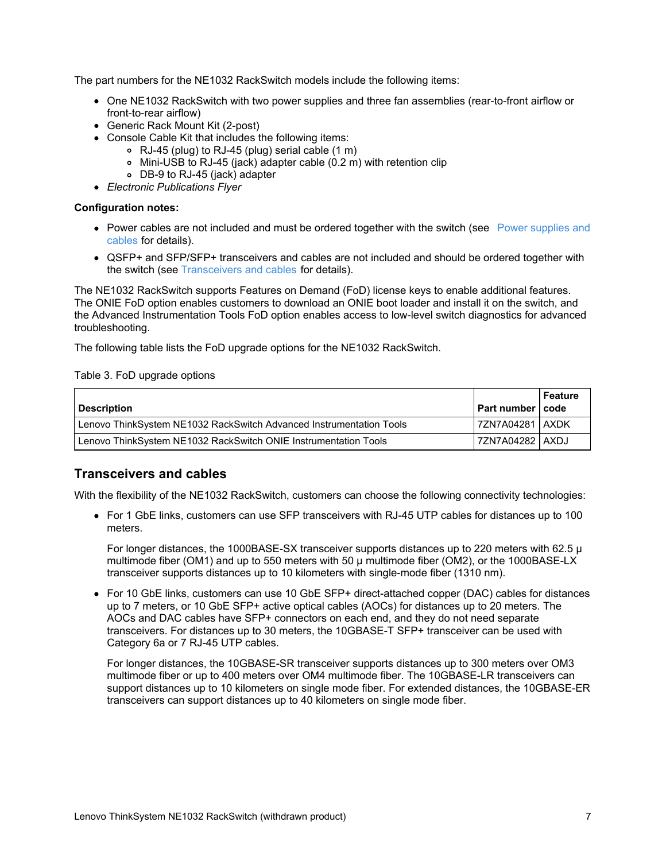The part numbers for the NE1032 RackSwitch models include the following items:

- One NE1032 RackSwitch with two power supplies and three fan assemblies (rear-to-front airflow or front-to-rear airflow)
- Generic Rack Mount Kit (2-post)
- Console Cable Kit that includes the following items:
	- RJ-45 (plug) to RJ-45 (plug) serial cable (1 m)
	- Mini-USB to RJ-45 (jack) adapter cable (0.2 m) with retention clip
	- DB-9 to RJ-45 (jack) adapter
- *Electronic Publications Flyer*

#### **Configuration notes:**

- Power cables are not [included](#page-13-0) and must be ordered together with the switch (see Power supplies and cables for details).
- QSFP+ and SFP/SFP+ transceivers and cables are not included and should be ordered together with the switch (see [Transceivers](#page-6-0) and cables for details).

The NE1032 RackSwitch supports Features on Demand (FoD) license keys to enable additional features. The ONIE FoD option enables customers to download an ONIE boot loader and install it on the switch, and the Advanced Instrumentation Tools FoD option enables access to low-level switch diagnostics for advanced troubleshooting.

The following table lists the FoD upgrade options for the NE1032 RackSwitch.

Table 3. FoD upgrade options

| Description                                                         | I Part number I code | Feature |
|---------------------------------------------------------------------|----------------------|---------|
| Lenovo ThinkSystem NE1032 RackSwitch Advanced Instrumentation Tools | 7ZN7A04281   AXDK    |         |
| Lenovo ThinkSystem NE1032 RackSwitch ONIE Instrumentation Tools     | 7ZN7A04282   AXDJ    |         |

#### <span id="page-6-0"></span>**Transceivers and cables**

With the flexibility of the NE1032 RackSwitch, customers can choose the following connectivity technologies:

• For 1 GbE links, customers can use SFP transceivers with RJ-45 UTP cables for distances up to 100 meters.

For longer distances, the 1000BASE-SX transceiver supports distances up to 220 meters with 62.5 µ multimode fiber (OM1) and up to 550 meters with 50 µ multimode fiber (OM2), or the 1000BASE-LX transceiver supports distances up to 10 kilometers with single-mode fiber (1310 nm).

For 10 GbE links, customers can use 10 GbE SFP+ direct-attached copper (DAC) cables for distances up to 7 meters, or 10 GbE SFP+ active optical cables (AOCs) for distances up to 20 meters. The AOCs and DAC cables have SFP+ connectors on each end, and they do not need separate transceivers. For distances up to 30 meters, the 10GBASE-T SFP+ transceiver can be used with Category 6a or 7 RJ-45 UTP cables.

For longer distances, the 10GBASE-SR transceiver supports distances up to 300 meters over OM3 multimode fiber or up to 400 meters over OM4 multimode fiber. The 10GBASE-LR transceivers can support distances up to 10 kilometers on single mode fiber. For extended distances, the 10GBASE-ER transceivers can support distances up to 40 kilometers on single mode fiber.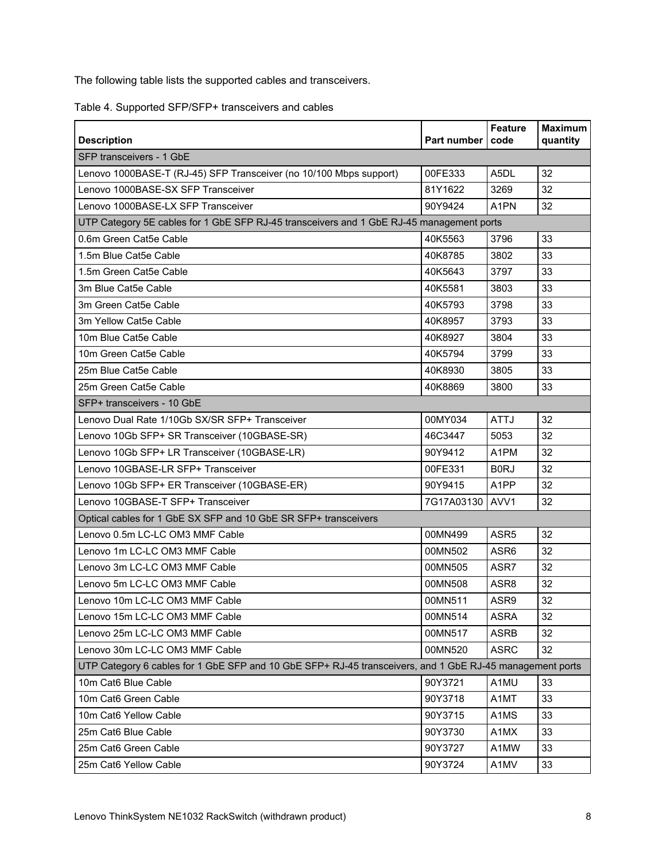The following table lists the supported cables and transceivers.

Table 4. Supported SFP/SFP+ transceivers and cables

| <b>Description</b>                                                                                       | Part number | <b>Feature</b><br>code | <b>Maximum</b><br>quantity |  |  |
|----------------------------------------------------------------------------------------------------------|-------------|------------------------|----------------------------|--|--|
| SFP transceivers - 1 GbE                                                                                 |             |                        |                            |  |  |
| Lenovo 1000BASE-T (RJ-45) SFP Transceiver (no 10/100 Mbps support)                                       | 00FE333     | A <sub>5</sub> DL      | 32                         |  |  |
| Lenovo 1000BASE-SX SFP Transceiver                                                                       | 81Y1622     | 3269                   | 32                         |  |  |
| Lenovo 1000BASE-LX SFP Transceiver                                                                       | 90Y9424     | A <sub>1</sub> PN      | 32                         |  |  |
| UTP Category 5E cables for 1 GbE SFP RJ-45 transceivers and 1 GbE RJ-45 management ports                 |             |                        |                            |  |  |
| 0.6m Green Cat5e Cable                                                                                   | 40K5563     | 3796                   | 33                         |  |  |
| 1.5m Blue Cat5e Cable                                                                                    | 40K8785     | 3802                   | 33                         |  |  |
| 1.5m Green Cat5e Cable                                                                                   | 40K5643     | 3797                   | 33                         |  |  |
| 3m Blue Cat5e Cable                                                                                      | 40K5581     | 3803                   | 33                         |  |  |
| 3m Green Cat5e Cable                                                                                     | 40K5793     | 3798                   | 33                         |  |  |
| 3m Yellow Cat5e Cable                                                                                    | 40K8957     | 3793                   | 33                         |  |  |
| 10m Blue Cat5e Cable                                                                                     | 40K8927     | 3804                   | 33                         |  |  |
| 10m Green Cat5e Cable                                                                                    | 40K5794     | 3799                   | 33                         |  |  |
| 25m Blue Cat5e Cable                                                                                     | 40K8930     | 3805                   | 33                         |  |  |
| 25m Green Cat5e Cable                                                                                    | 40K8869     | 3800                   | 33                         |  |  |
| SFP+ transceivers - 10 GbE                                                                               |             |                        |                            |  |  |
| Lenovo Dual Rate 1/10Gb SX/SR SFP+ Transceiver                                                           | 00MY034     | <b>ATTJ</b>            | 32                         |  |  |
| Lenovo 10Gb SFP+ SR Transceiver (10GBASE-SR)                                                             | 46C3447     | 5053                   | 32                         |  |  |
| Lenovo 10Gb SFP+ LR Transceiver (10GBASE-LR)                                                             | 90Y9412     | A <sub>1</sub> PM      | 32                         |  |  |
| Lenovo 10GBASE-LR SFP+ Transceiver                                                                       | 00FE331     | B <sub>0</sub> RJ      | 32                         |  |  |
| Lenovo 10Gb SFP+ ER Transceiver (10GBASE-ER)                                                             | 90Y9415     | A1PP                   | 32                         |  |  |
| Lenovo 10GBASE-T SFP+ Transceiver                                                                        | 7G17A03130  | AVV1                   | 32                         |  |  |
| Optical cables for 1 GbE SX SFP and 10 GbE SR SFP+ transceivers                                          |             |                        |                            |  |  |
| Lenovo 0.5m LC-LC OM3 MMF Cable                                                                          | 00MN499     | ASR5                   | 32                         |  |  |
| Lenovo 1m LC-LC OM3 MMF Cable                                                                            | 00MN502     | ASR <sub>6</sub>       | 32                         |  |  |
| Lenovo 3m LC-LC OM3 MMF Cable                                                                            | 00MN505     | ASR7                   | 32                         |  |  |
| Lenovo 5m LC-LC OM3 MMF Cable                                                                            | 00MN508     | ASR8                   | 32                         |  |  |
| Lenovo 10m LC-LC OM3 MMF Cable                                                                           | 00MN511     | ASR9                   | 32                         |  |  |
| Lenovo 15m LC-LC OM3 MMF Cable                                                                           | 00MN514     | <b>ASRA</b>            | 32                         |  |  |
| Lenovo 25m LC-LC OM3 MMF Cable                                                                           | 00MN517     | <b>ASRB</b>            | 32                         |  |  |
| Lenovo 30m LC-LC OM3 MMF Cable                                                                           | 00MN520     | <b>ASRC</b>            | 32                         |  |  |
| UTP Category 6 cables for 1 GbE SFP and 10 GbE SFP+ RJ-45 transceivers, and 1 GbE RJ-45 management ports |             |                        |                            |  |  |
| 10m Cat6 Blue Cable                                                                                      | 90Y3721     | A1MU                   | 33                         |  |  |
| 10m Cat6 Green Cable                                                                                     | 90Y3718     | A1MT                   | 33                         |  |  |
| 10m Cat6 Yellow Cable                                                                                    | 90Y3715     | A1MS                   | 33                         |  |  |
| 25m Cat6 Blue Cable                                                                                      | 90Y3730     | A1MX                   | 33                         |  |  |
| 25m Cat6 Green Cable                                                                                     | 90Y3727     | A1MW                   | 33                         |  |  |
| 25m Cat6 Yellow Cable                                                                                    | 90Y3724     | A1MV                   | 33                         |  |  |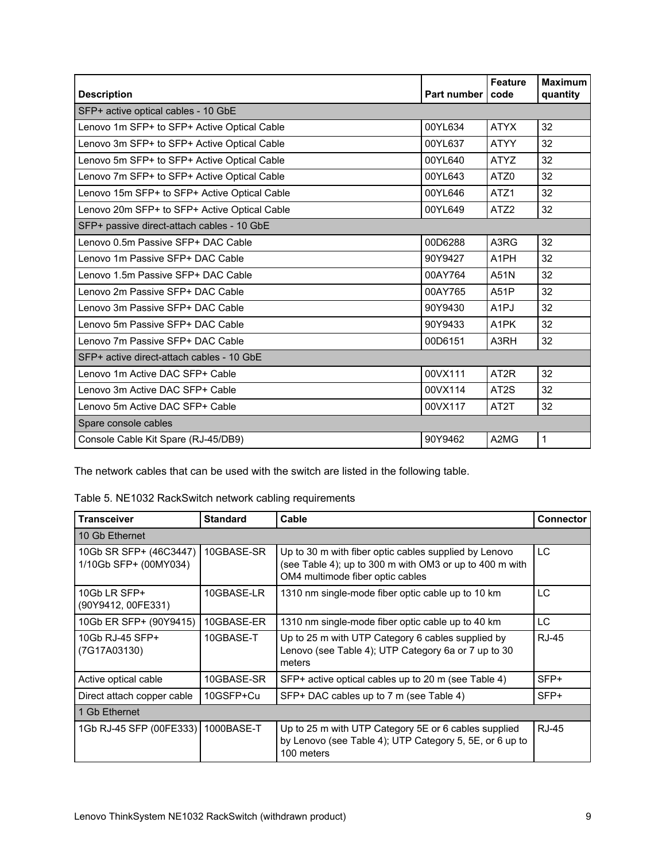| <b>Description</b>                           | Part number | <b>Feature</b><br>code | <b>Maximum</b><br>quantity |
|----------------------------------------------|-------------|------------------------|----------------------------|
| SFP+ active optical cables - 10 GbE          |             |                        |                            |
| Lenovo 1m SFP+ to SFP+ Active Optical Cable  | 00YL634     | <b>ATYX</b>            | 32                         |
| Lenovo 3m SFP+ to SFP+ Active Optical Cable  | 00YL637     | <b>ATYY</b>            | 32                         |
| Lenovo 5m SFP+ to SFP+ Active Optical Cable  | 00YL640     | <b>ATYZ</b>            | 32                         |
| Lenovo 7m SFP+ to SFP+ Active Optical Cable  | 00YL643     | ATZ0                   | 32                         |
| Lenovo 15m SFP+ to SFP+ Active Optical Cable | 00YL646     | ATZ1                   | 32                         |
| Lenovo 20m SFP+ to SFP+ Active Optical Cable | 00YL649     | ATZ <sub>2</sub>       | 32                         |
| SFP+ passive direct-attach cables - 10 GbE   |             |                        |                            |
| Lenovo 0.5m Passive SFP+ DAC Cable           | 00D6288     | A3RG                   | 32                         |
| Lenovo 1m Passive SFP+ DAC Cable             | 90Y9427     | A <sub>1</sub> PH      | 32                         |
| Lenovo 1.5m Passive SFP+ DAC Cable           | 00AY764     | A51N                   | 32                         |
| Lenovo 2m Passive SFP+ DAC Cable             | 00AY765     | A51P                   | 32                         |
| Lenovo 3m Passive SFP+ DAC Cable             | 90Y9430     | A <sub>1</sub> PJ      | 32                         |
| Lenovo 5m Passive SFP+ DAC Cable             | 90Y9433     | A <sub>1</sub> PK      | 32                         |
| Lenovo 7m Passive SFP+ DAC Cable             | 00D6151     | A3RH                   | 32                         |
| SFP+ active direct-attach cables - 10 GbE    |             |                        |                            |
| Lenovo 1m Active DAC SFP+ Cable              | 00VX111     | AT <sub>2</sub> R      | 32                         |
| Lenovo 3m Active DAC SFP+ Cable              | 00VX114     | AT <sub>2</sub> S      | 32                         |
| Lenovo 5m Active DAC SFP+ Cable              | 00VX117     | AT <sub>2</sub> T      | 32                         |
| Spare console cables                         |             |                        |                            |
| Console Cable Kit Spare (RJ-45/DB9)          | 90Y9462     | A2MG                   | 1                          |

The network cables that can be used with the switch are listed in the following table.

| Table 5. NE1032 RackSwitch network cabling requirements |  |  |  |  |  |  |  |
|---------------------------------------------------------|--|--|--|--|--|--|--|
|---------------------------------------------------------|--|--|--|--|--|--|--|

| <b>Transceiver</b>                              | <b>Standard</b> | Cable                                                                                                                                                | <b>Connector</b> |  |
|-------------------------------------------------|-----------------|------------------------------------------------------------------------------------------------------------------------------------------------------|------------------|--|
| 10 Gb Ethernet                                  |                 |                                                                                                                                                      |                  |  |
| 10Gb SR SFP+ (46C3447)<br>1/10Gb SFP+ (00MY034) | 10GBASE-SR      | Up to 30 m with fiber optic cables supplied by Lenovo<br>(see Table 4); up to 300 m with OM3 or up to 400 m with<br>OM4 multimode fiber optic cables | LC               |  |
| 10Gb LR SFP+<br>(90Y9412, 00FE331)              | 10GBASE-LR      | 1310 nm single-mode fiber optic cable up to 10 km                                                                                                    | <b>LC</b>        |  |
| 10Gb ER SFP+ (90Y9415)                          | 10GBASE-ER      | 1310 nm single-mode fiber optic cable up to 40 km                                                                                                    | LC               |  |
| 10Gb RJ-45 SFP+<br>(7G17A03130)                 | 10GBASE-T       | Up to 25 m with UTP Category 6 cables supplied by<br>Lenovo (see Table 4); UTP Category 6a or 7 up to 30<br>meters                                   | RJ-45            |  |
| Active optical cable                            | 10GBASE-SR      | SFP+ active optical cables up to 20 m (see Table 4)                                                                                                  | SFP+             |  |
| Direct attach copper cable                      | 10GSFP+Cu       | SFP+ DAC cables up to 7 m (see Table 4)                                                                                                              | SFP+             |  |
| 1 Gb Ethernet                                   |                 |                                                                                                                                                      |                  |  |
| 1Gb RJ-45 SFP (00FE333)   1000BASE-T            |                 | Up to 25 m with UTP Category 5E or 6 cables supplied<br>by Lenovo (see Table 4); UTP Category 5, 5E, or 6 up to<br>100 meters                        | <b>RJ-45</b>     |  |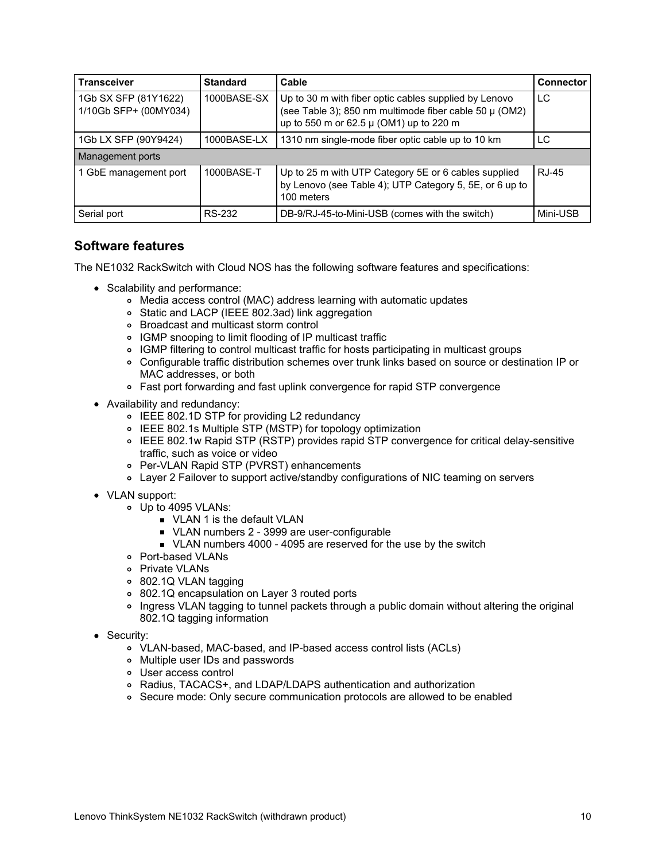| <b>Transceiver</b>                            | <b>Standard</b> | Cable                                                                                                                                                      | <b>Connector</b> |
|-----------------------------------------------|-----------------|------------------------------------------------------------------------------------------------------------------------------------------------------------|------------------|
| 1Gb SX SFP (81Y1622)<br>1/10Gb SFP+ (00MY034) | 1000BASE-SX     | Up to 30 m with fiber optic cables supplied by Lenovo<br>(see Table 3); 850 nm multimode fiber cable 50 µ (OM2)<br>up to 550 m or 62.5 µ (OM1) up to 220 m | LC               |
| 1Gb LX SFP (90Y9424)                          | 1000BASE-LX     | 1310 nm single-mode fiber optic cable up to 10 km                                                                                                          | LC               |
| Management ports                              |                 |                                                                                                                                                            |                  |
| 1 GbE management port                         | 1000BASE-T      | Up to 25 m with UTP Category 5E or 6 cables supplied<br>by Lenovo (see Table 4); UTP Category 5, 5E, or 6 up to<br>100 meters                              | R.J-45           |
| Serial port                                   | RS-232          | DB-9/RJ-45-to-Mini-USB (comes with the switch)                                                                                                             | Mini-USB         |

### **Software features**

The NE1032 RackSwitch with Cloud NOS has the following software features and specifications:

- Scalability and performance:
	- Media access control (MAC) address learning with automatic updates
	- Static and LACP (IEEE 802.3ad) link aggregation
	- Broadcast and multicast storm control
	- IGMP snooping to limit flooding of IP multicast traffic
	- IGMP filtering to control multicast traffic for hosts participating in multicast groups
	- Configurable traffic distribution schemes over trunk links based on source or destination IP or MAC addresses, or both
	- Fast port forwarding and fast uplink convergence for rapid STP convergence
- Availability and redundancy:
	- IEEE 802.1D STP for providing L2 redundancy
	- IEEE 802.1s Multiple STP (MSTP) for topology optimization
	- IEEE 802.1w Rapid STP (RSTP) provides rapid STP convergence for critical delay-sensitive traffic, such as voice or video
	- Per-VLAN Rapid STP (PVRST) enhancements
	- Layer 2 Failover to support active/standby configurations of NIC teaming on servers
- VLAN support:
	- Up to 4095 VLANs:
		- **VLAN 1 is the default VLAN**
		- ULAN numbers 2 3999 are user-configurable
		- ULAN numbers 4000 4095 are reserved for the use by the switch
	- o Port-based VLANs
	- o Private VLANs
	- 802.1Q VLAN tagging
	- 802.1Q encapsulation on Layer 3 routed ports
	- Ingress VLAN tagging to tunnel packets through a public domain without altering the original 802.1Q tagging information
- Security:
	- VLAN-based, MAC-based, and IP-based access control lists (ACLs)
	- Multiple user IDs and passwords
	- User access control
	- Radius, TACACS+, and LDAP/LDAPS authentication and authorization
	- o Secure mode: Only secure communication protocols are allowed to be enabled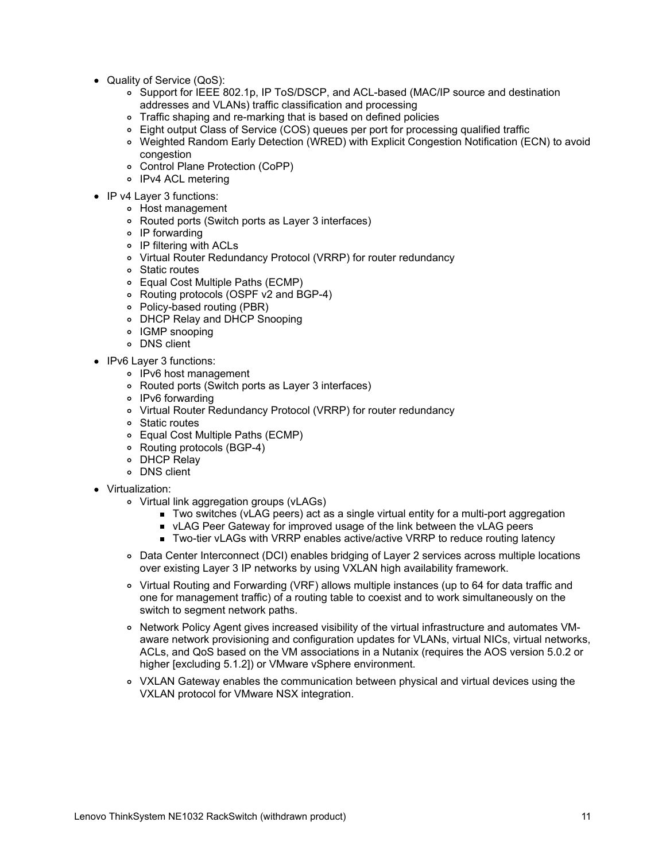- Quality of Service (QoS):
	- o Support for IEEE 802.1p, IP ToS/DSCP, and ACL-based (MAC/IP source and destination addresses and VLANs) traffic classification and processing
	- Traffic shaping and re-marking that is based on defined policies
	- Eight output Class of Service (COS) queues per port for processing qualified traffic
	- Weighted Random Early Detection (WRED) with Explicit Congestion Notification (ECN) to avoid congestion
	- Control Plane Protection (CoPP)
	- o IPv4 ACL metering
- IP v4 Layer 3 functions:
	- Host management
	- Routed ports (Switch ports as Layer 3 interfaces)
	- IP forwarding
	- IP filtering with ACLs
	- Virtual Router Redundancy Protocol (VRRP) for router redundancy
	- Static routes
	- Equal Cost Multiple Paths (ECMP)
	- Routing protocols (OSPF v2 and BGP-4)
	- Policy-based routing (PBR)
	- DHCP Relay and DHCP Snooping
	- IGMP snooping
	- DNS client
- IPv6 Layer 3 functions:
	- IPv6 host management
	- Routed ports (Switch ports as Layer 3 interfaces)
	- o IPv6 forwarding
	- Virtual Router Redundancy Protocol (VRRP) for router redundancy
	- Static routes
	- Equal Cost Multiple Paths (ECMP)
	- Routing protocols (BGP-4)
	- DHCP Relay
	- DNS client
- Virtualization:
	- Virtual link aggregation groups (vLAGs)
		- Two switches (vLAG peers) act as a single virtual entity for a multi-port aggregation
		- **ULAG Peer Gateway for improved usage of the link between the vLAG peers**
		- Two-tier vLAGs with VRRP enables active/active VRRP to reduce routing latency
	- Data Center Interconnect (DCI) enables bridging of Layer 2 services across multiple locations over existing Layer 3 IP networks by using VXLAN high availability framework.
	- Virtual Routing and Forwarding (VRF) allows multiple instances (up to 64 for data traffic and one for management traffic) of a routing table to coexist and to work simultaneously on the switch to segment network paths.
	- o Network Policy Agent gives increased visibility of the virtual infrastructure and automates VMaware network provisioning and configuration updates for VLANs, virtual NICs, virtual networks, ACLs, and QoS based on the VM associations in a Nutanix (requires the AOS version 5.0.2 or higher [excluding 5.1.2]) or VMware vSphere environment.
	- VXLAN Gateway enables the communication between physical and virtual devices using the VXLAN protocol for VMware NSX integration.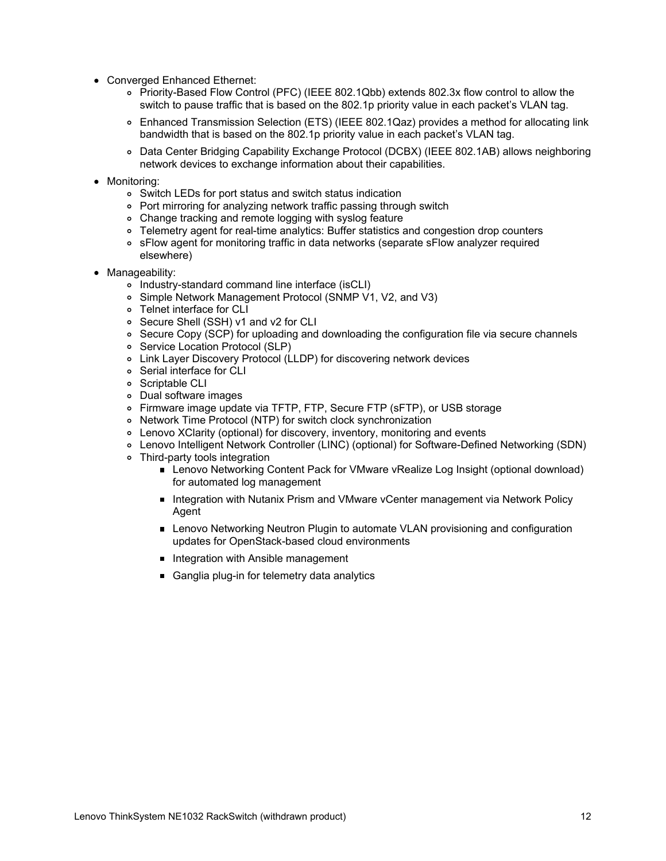- Converged Enhanced Ethernet:
	- Priority-Based Flow Control (PFC) (IEEE 802.1Qbb) extends 802.3x flow control to allow the switch to pause traffic that is based on the 802.1p priority value in each packet's VLAN tag.
	- Enhanced Transmission Selection (ETS) (IEEE 802.1Qaz) provides a method for allocating link bandwidth that is based on the 802.1p priority value in each packet's VLAN tag.
	- Data Center Bridging Capability Exchange Protocol (DCBX) (IEEE 802.1AB) allows neighboring network devices to exchange information about their capabilities.
- Monitoring:
	- Switch LEDs for port status and switch status indication
	- Port mirroring for analyzing network traffic passing through switch
	- Change tracking and remote logging with syslog feature
	- Telemetry agent for real-time analytics: Buffer statistics and congestion drop counters
	- sFlow agent for monitoring traffic in data networks (separate sFlow analyzer required elsewhere)
- Manageability:
	- o Industry-standard command line interface (isCLI)
	- Simple Network Management Protocol (SNMP V1, V2, and V3)
	- Telnet interface for CLI
	- Secure Shell (SSH) v1 and v2 for CLI
	- Secure Copy (SCP) for uploading and downloading the configuration file via secure channels
	- o Service Location Protocol (SLP)
	- Link Layer Discovery Protocol (LLDP) for discovering network devices
	- Serial interface for CLI
	- o Scriptable CLI
	- Dual software images
	- Firmware image update via TFTP, FTP, Secure FTP (sFTP), or USB storage
	- Network Time Protocol (NTP) for switch clock synchronization
	- Lenovo XClarity (optional) for discovery, inventory, monitoring and events
	- Lenovo Intelligent Network Controller (LINC) (optional) for Software-Defined Networking (SDN)
	- Third-party tools integration
		- Lenovo Networking Content Pack for VMware vRealize Log Insight (optional download) for automated log management
		- Integration with Nutanix Prism and VMware vCenter management via Network Policy Agent
		- **Lenovo Networking Neutron Plugin to automate VLAN provisioning and configuration** updates for OpenStack-based cloud environments
		- Integration with Ansible management
		- Ganglia plug-in for telemetry data analytics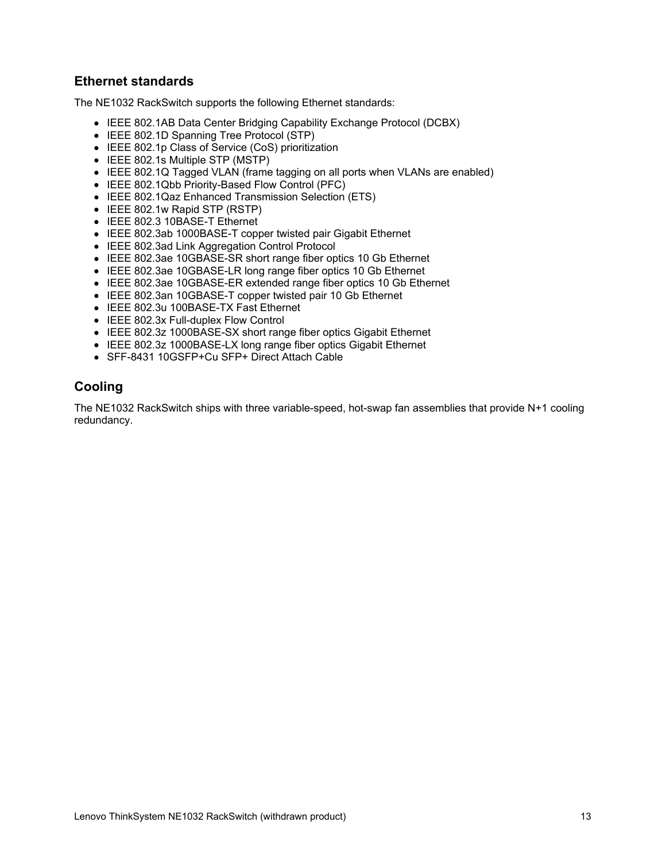## **Ethernet standards**

The NE1032 RackSwitch supports the following Ethernet standards:

- IEEE 802.1AB Data Center Bridging Capability Exchange Protocol (DCBX)
- IEEE 802.1D Spanning Tree Protocol (STP)
- IEEE 802.1p Class of Service (CoS) prioritization
- IEEE 802.1s Multiple STP (MSTP)
- IEEE 802.1Q Tagged VLAN (frame tagging on all ports when VLANs are enabled)
- IEEE 802.1Qbb Priority-Based Flow Control (PFC)
- IEEE 802.1Qaz Enhanced Transmission Selection (ETS)
- IEEE 802.1w Rapid STP (RSTP)
- IEEE 802.3 10BASE-T Ethernet
- IEEE 802.3ab 1000BASE-T copper twisted pair Gigabit Ethernet
- IEEE 802.3ad Link Aggregation Control Protocol
- IEEE 802.3ae 10GBASE-SR short range fiber optics 10 Gb Ethernet
- IEEE 802.3ae 10GBASE-LR long range fiber optics 10 Gb Ethernet
- IEEE 802.3ae 10GBASE-ER extended range fiber optics 10 Gb Ethernet
- IEEE 802.3an 10GBASE-T copper twisted pair 10 Gb Ethernet
- IEEE 802.3u 100BASE-TX Fast Ethernet
- IEEE 802.3x Full-duplex Flow Control
- IEEE 802.3z 1000BASE-SX short range fiber optics Gigabit Ethernet
- IEEE 802.3z 1000BASE-LX long range fiber optics Gigabit Ethernet
- SFF-8431 10GSFP+Cu SFP+ Direct Attach Cable

# **Cooling**

The NE1032 RackSwitch ships with three variable-speed, hot-swap fan assemblies that provide N+1 cooling redundancy.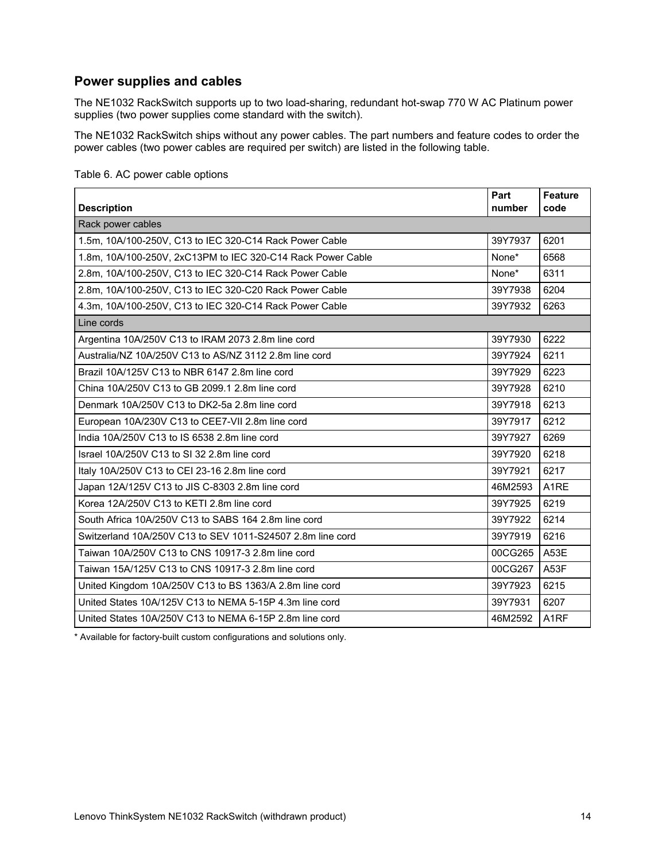## <span id="page-13-0"></span>**Power supplies and cables**

The NE1032 RackSwitch supports up to two load-sharing, redundant hot-swap 770 W AC Platinum power supplies (two power supplies come standard with the switch).

The NE1032 RackSwitch ships without any power cables. The part numbers and feature codes to order the power cables (two power cables are required per switch) are listed in the following table.

| <b>Description</b>                                          | Part<br>number | <b>Feature</b><br>code |
|-------------------------------------------------------------|----------------|------------------------|
| Rack power cables                                           |                |                        |
| 1.5m, 10A/100-250V, C13 to IEC 320-C14 Rack Power Cable     | 39Y7937        | 6201                   |
| 1.8m, 10A/100-250V, 2xC13PM to IEC 320-C14 Rack Power Cable | None*          | 6568                   |
| 2.8m, 10A/100-250V, C13 to IEC 320-C14 Rack Power Cable     | None*          | 6311                   |
| 2.8m, 10A/100-250V, C13 to IEC 320-C20 Rack Power Cable     | 39Y7938        | 6204                   |
| 4.3m, 10A/100-250V, C13 to IEC 320-C14 Rack Power Cable     | 39Y7932        | 6263                   |
| Line cords                                                  |                |                        |
| Argentina 10A/250V C13 to IRAM 2073 2.8m line cord          | 39Y7930        | 6222                   |
| Australia/NZ 10A/250V C13 to AS/NZ 3112 2.8m line cord      | 39Y7924        | 6211                   |
| Brazil 10A/125V C13 to NBR 6147 2.8m line cord              | 39Y7929        | 6223                   |
| China 10A/250V C13 to GB 2099.1 2.8m line cord              | 39Y7928        | 6210                   |
| Denmark 10A/250V C13 to DK2-5a 2.8m line cord               | 39Y7918        | 6213                   |
| European 10A/230V C13 to CEE7-VII 2.8m line cord            | 39Y7917        | 6212                   |
| India 10A/250V C13 to IS 6538 2.8m line cord                | 39Y7927        | 6269                   |
| Israel 10A/250V C13 to SI 32 2.8m line cord                 | 39Y7920        | 6218                   |
| Italy 10A/250V C13 to CEI 23-16 2.8m line cord              | 39Y7921        | 6217                   |
| Japan 12A/125V C13 to JIS C-8303 2.8m line cord             | 46M2593        | A <sub>1</sub> RE      |
| Korea 12A/250V C13 to KETI 2.8m line cord                   | 39Y7925        | 6219                   |
| South Africa 10A/250V C13 to SABS 164 2.8m line cord        | 39Y7922        | 6214                   |
| Switzerland 10A/250V C13 to SEV 1011-S24507 2.8m line cord  | 39Y7919        | 6216                   |
| Taiwan 10A/250V C13 to CNS 10917-3 2.8m line cord           | 00CG265        | A53E                   |
| Taiwan 15A/125V C13 to CNS 10917-3 2.8m line cord           | 00CG267        | A53F                   |
| United Kingdom 10A/250V C13 to BS 1363/A 2.8m line cord     | 39Y7923        | 6215                   |
| United States 10A/125V C13 to NEMA 5-15P 4.3m line cord     | 39Y7931        | 6207                   |
| United States 10A/250V C13 to NEMA 6-15P 2.8m line cord     | 46M2592        | A <sub>1</sub> RF      |

Table 6. AC power cable options

\* Available for factory-built custom configurations and solutions only.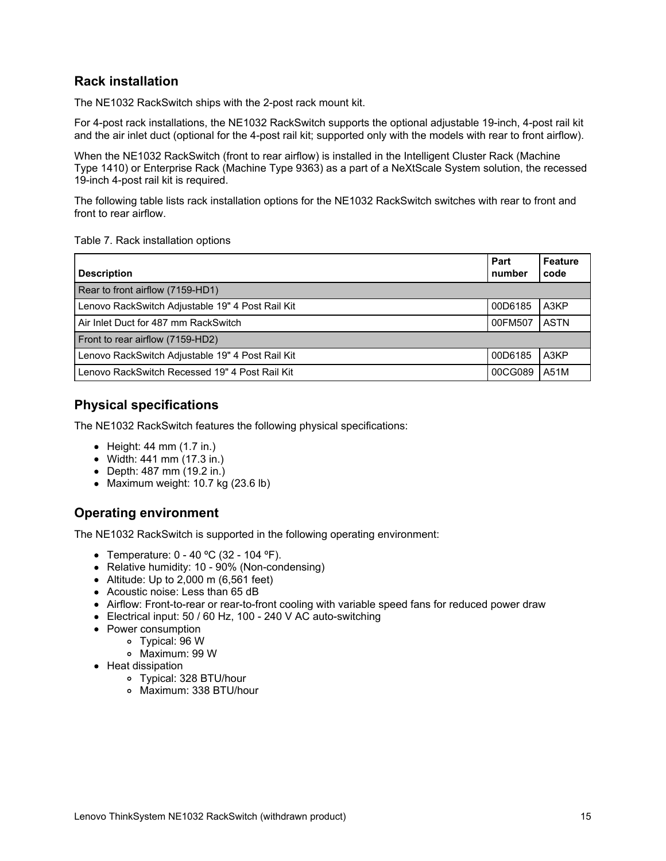## **Rack installation**

The NE1032 RackSwitch ships with the 2-post rack mount kit.

For 4-post rack installations, the NE1032 RackSwitch supports the optional adjustable 19-inch, 4-post rail kit and the air inlet duct (optional for the 4-post rail kit; supported only with the models with rear to front airflow).

When the NE1032 RackSwitch (front to rear airflow) is installed in the Intelligent Cluster Rack (Machine Type 1410) or Enterprise Rack (Machine Type 9363) as a part of a NeXtScale System solution, the recessed 19-inch 4-post rail kit is required.

The following table lists rack installation options for the NE1032 RackSwitch switches with rear to front and front to rear airflow.

#### Table 7. Rack installation options

| <b>Description</b>                               | Part<br>number | <b>Feature</b><br>code |
|--------------------------------------------------|----------------|------------------------|
| Rear to front airflow (7159-HD1)                 |                |                        |
| Lenovo RackSwitch Adjustable 19" 4 Post Rail Kit | 00D6185        | A3KP                   |
| Air Inlet Duct for 487 mm RackSwitch             | 00FM507        | <b>ASTN</b>            |
| Front to rear airflow (7159-HD2)                 |                |                        |
| Lenovo RackSwitch Adjustable 19" 4 Post Rail Kit | 00D6185        | A3KP                   |
| Lenovo RackSwitch Recessed 19" 4 Post Rail Kit   | 00CG089        | A51M                   |

#### **Physical specifications**

The NE1032 RackSwitch features the following physical specifications:

- $\bullet$  Height: 44 mm (1.7 in.)
- Width: 441 mm (17.3 in.)
- Depth: 487 mm (19.2 in.)
- Maximum weight: 10.7 kg (23.6 lb)

#### **Operating environment**

The NE1032 RackSwitch is supported in the following operating environment:

- Temperature: 0 40 ºC (32 104 ºF).
- Relative humidity: 10 90% (Non-condensing)
- Altitude: Up to  $2,000$  m (6,561 feet)
- Acoustic noise: Less than 65 dB
- Airflow: Front-to-rear or rear-to-front cooling with variable speed fans for reduced power draw
- Electrical input: 50 / 60 Hz, 100 240 V AC auto-switching
- Power consumption
	- Typical: 96 W
		- Maximum: 99 W
- Heat dissipation
	- Typical: 328 BTU/hour
	- Maximum: 338 BTU/hour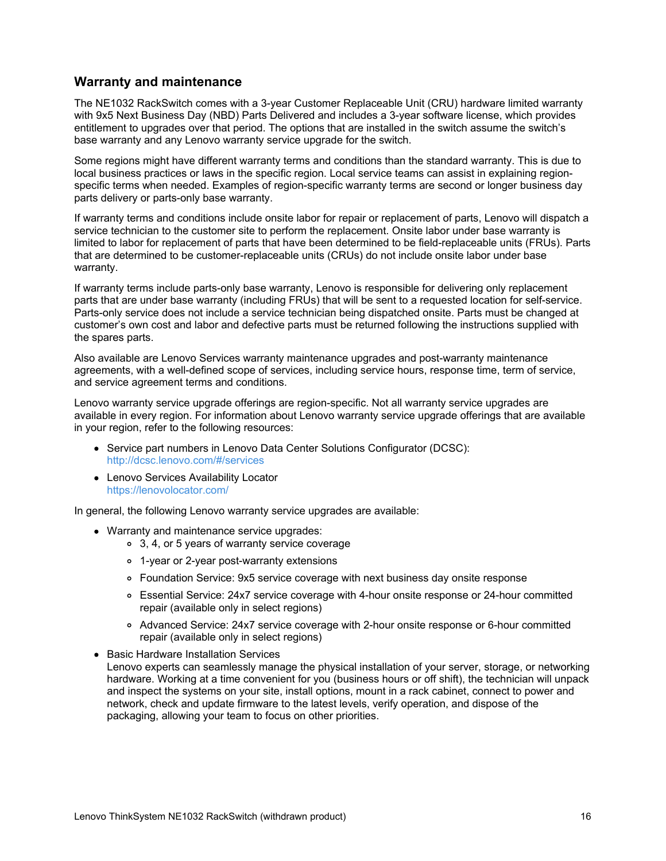#### **Warranty and maintenance**

The NE1032 RackSwitch comes with a 3-year Customer Replaceable Unit (CRU) hardware limited warranty with 9x5 Next Business Day (NBD) Parts Delivered and includes a 3-year software license, which provides entitlement to upgrades over that period. The options that are installed in the switch assume the switch's base warranty and any Lenovo warranty service upgrade for the switch.

Some regions might have different warranty terms and conditions than the standard warranty. This is due to local business practices or laws in the specific region. Local service teams can assist in explaining regionspecific terms when needed. Examples of region-specific warranty terms are second or longer business day parts delivery or parts-only base warranty.

If warranty terms and conditions include onsite labor for repair or replacement of parts, Lenovo will dispatch a service technician to the customer site to perform the replacement. Onsite labor under base warranty is limited to labor for replacement of parts that have been determined to be field-replaceable units (FRUs). Parts that are determined to be customer-replaceable units (CRUs) do not include onsite labor under base warranty.

If warranty terms include parts-only base warranty, Lenovo is responsible for delivering only replacement parts that are under base warranty (including FRUs) that will be sent to a requested location for self-service. Parts-only service does not include a service technician being dispatched onsite. Parts must be changed at customer's own cost and labor and defective parts must be returned following the instructions supplied with the spares parts.

Also available are Lenovo Services warranty maintenance upgrades and post-warranty maintenance agreements, with a well-defined scope of services, including service hours, response time, term of service, and service agreement terms and conditions.

Lenovo warranty service upgrade offerings are region-specific. Not all warranty service upgrades are available in every region. For information about Lenovo warranty service upgrade offerings that are available in your region, refer to the following resources:

- Service part numbers in Lenovo Data Center Solutions Configurator (DCSC): <http://dcsc.lenovo.com/#/services>
- Lenovo Services Availability Locator <https://lenovolocator.com/>

In general, the following Lenovo warranty service upgrades are available:

- Warranty and maintenance service upgrades:
	- 3, 4, or 5 years of warranty service coverage
	- 1-year or 2-year post-warranty extensions
	- Foundation Service: 9x5 service coverage with next business day onsite response
	- Essential Service: 24x7 service coverage with 4-hour onsite response or 24-hour committed repair (available only in select regions)
	- Advanced Service: 24x7 service coverage with 2-hour onsite response or 6-hour committed repair (available only in select regions)
- Basic Hardware Installation Services
- Lenovo experts can seamlessly manage the physical installation of your server, storage, or networking hardware. Working at a time convenient for you (business hours or off shift), the technician will unpack and inspect the systems on your site, install options, mount in a rack cabinet, connect to power and network, check and update firmware to the latest levels, verify operation, and dispose of the packaging, allowing your team to focus on other priorities.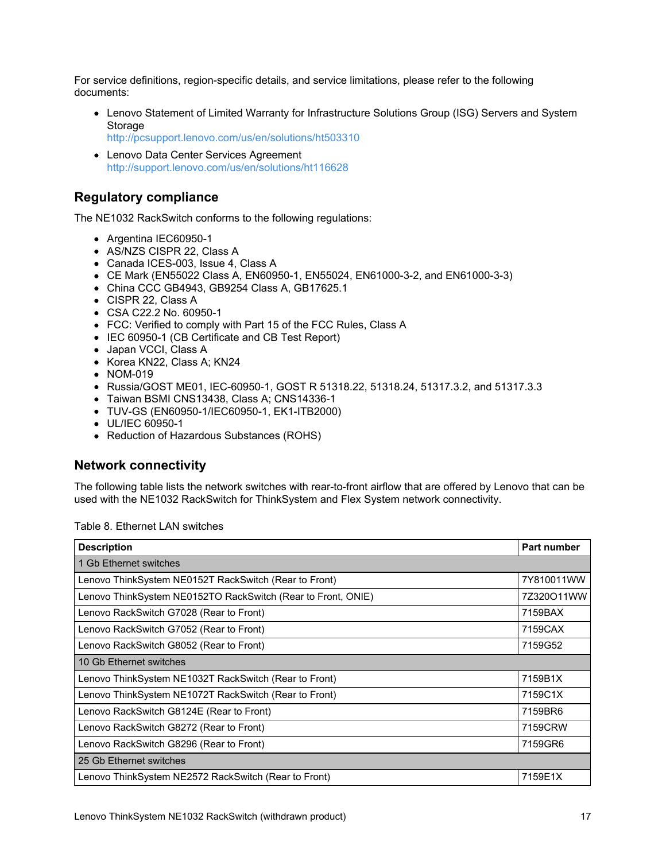For service definitions, region-specific details, and service limitations, please refer to the following documents:

- Lenovo Statement of Limited Warranty for Infrastructure Solutions Group (ISG) Servers and System Storage
	- <http://pcsupport.lenovo.com/us/en/solutions/ht503310>
- Lenovo Data Center Services Agreement <http://support.lenovo.com/us/en/solutions/ht116628>

#### **Regulatory compliance**

The NE1032 RackSwitch conforms to the following regulations:

- Argentina IEC60950-1
- AS/NZS CISPR 22, Class A
- Canada ICES-003, Issue 4, Class A
- CE Mark (EN55022 Class A, EN60950-1, EN55024, EN61000-3-2, and EN61000-3-3)
- China CCC GB4943, GB9254 Class A, GB17625.1
- CISPR 22, Class A
- CSA C22.2 No. 60950-1
- FCC: Verified to comply with Part 15 of the FCC Rules, Class A
- IEC 60950-1 (CB Certificate and CB Test Report)
- Japan VCCI, Class A
- Korea KN22, Class A; KN24
- NOM-019
- Russia/GOST ME01, IEC-60950-1, GOST R 51318.22, 51318.24, 51317.3.2, and 51317.3.3
- Taiwan BSMI CNS13438, Class A; CNS14336-1
- TUV-GS (EN60950-1/IEC60950-1, EK1-ITB2000)
- UL/IEC 60950-1
- Reduction of Hazardous Substances (ROHS)

#### **Network connectivity**

The following table lists the network switches with rear-to-front airflow that are offered by Lenovo that can be used with the NE1032 RackSwitch for ThinkSystem and Flex System network connectivity.

| <b>Description</b>                                           | Part number |
|--------------------------------------------------------------|-------------|
| 1 Gb Ethernet switches                                       |             |
| Lenovo ThinkSystem NE0152T RackSwitch (Rear to Front)        | 7Y810011WW  |
| Lenovo ThinkSystem NE0152TO RackSwitch (Rear to Front, ONIE) | 7Z320O11WW  |
| Lenovo RackSwitch G7028 (Rear to Front)                      | 7159BAX     |
| Lenovo RackSwitch G7052 (Rear to Front)                      | 7159CAX     |
| Lenovo RackSwitch G8052 (Rear to Front)                      | 7159G52     |
| 10 Gb Ethernet switches                                      |             |
| Lenovo ThinkSystem NE1032T RackSwitch (Rear to Front)        | 7159B1X     |
| Lenovo ThinkSystem NE1072T RackSwitch (Rear to Front)        | 7159C1X     |
| Lenovo RackSwitch G8124E (Rear to Front)                     | 7159BR6     |
| Lenovo RackSwitch G8272 (Rear to Front)                      | 7159CRW     |
| Lenovo RackSwitch G8296 (Rear to Front)                      | 7159GR6     |
| 25 Gb Ethernet switches                                      |             |
| Lenovo ThinkSystem NE2572 RackSwitch (Rear to Front)         | 7159E1X     |

Table 8. Ethernet LAN switches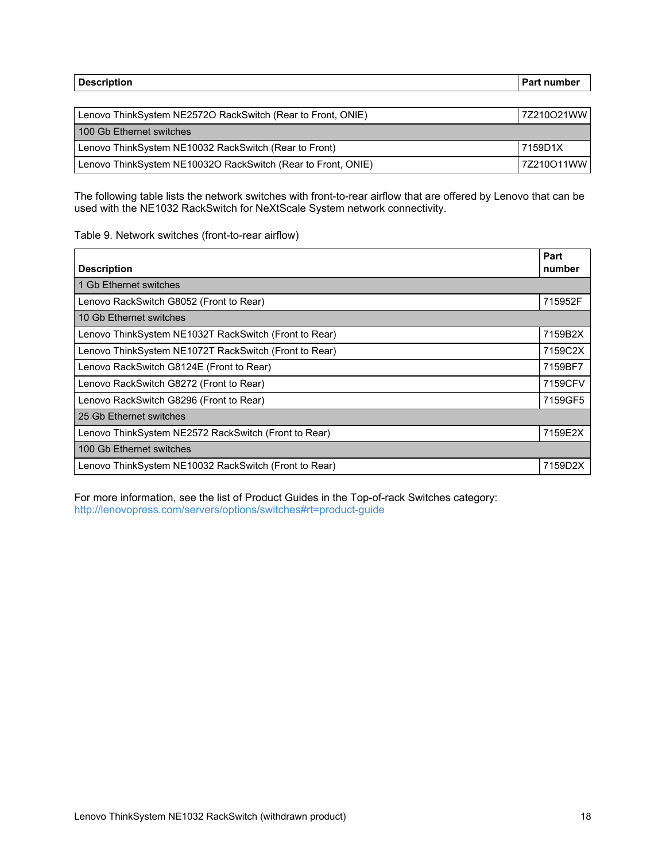| <b>Description</b>                                           | <b>Part number</b> |
|--------------------------------------------------------------|--------------------|
|                                                              |                    |
| Lenovo ThinkSystem NE2572O RackSwitch (Rear to Front, ONIE)  | 7Z210O21WW         |
| 100 Gb Ethernet switches                                     |                    |
| Lenovo ThinkSystem NE10032 RackSwitch (Rear to Front)        | 7159D1X            |
| Lenovo ThinkSystem NE10032O RackSwitch (Rear to Front, ONIE) | 7Z210O11WW         |

The following table lists the network switches with front-to-rear airflow that are offered by Lenovo that can be used with the NE1032 RackSwitch for NeXtScale System network connectivity.

#### Table 9. Network switches (front-to-rear airflow)

| <b>Description</b>                                    | Part<br>number |
|-------------------------------------------------------|----------------|
|                                                       |                |
| 1 Gb Ethernet switches                                |                |
| Lenovo RackSwitch G8052 (Front to Rear)               | 715952F        |
| 10 Gb Ethernet switches                               |                |
| Lenovo ThinkSystem NE1032T RackSwitch (Front to Rear) | 7159B2X        |
| Lenovo ThinkSystem NE1072T RackSwitch (Front to Rear) | 7159C2X        |
| Lenovo RackSwitch G8124E (Front to Rear)              | 7159BF7        |
| Lenovo RackSwitch G8272 (Front to Rear)               | 7159CFV        |
| Lenovo RackSwitch G8296 (Front to Rear)               | 7159GF5        |
| 25 Gb Ethernet switches                               |                |
| Lenovo ThinkSystem NE2572 RackSwitch (Front to Rear)  | 7159E2X        |
| 100 Gb Ethernet switches                              |                |
| Lenovo ThinkSystem NE10032 RackSwitch (Front to Rear) | 7159D2X        |

For more information, see the list of Product Guides in the Top-of-rack Switches category: <http://lenovopress.com/servers/options/switches#rt=product-guide>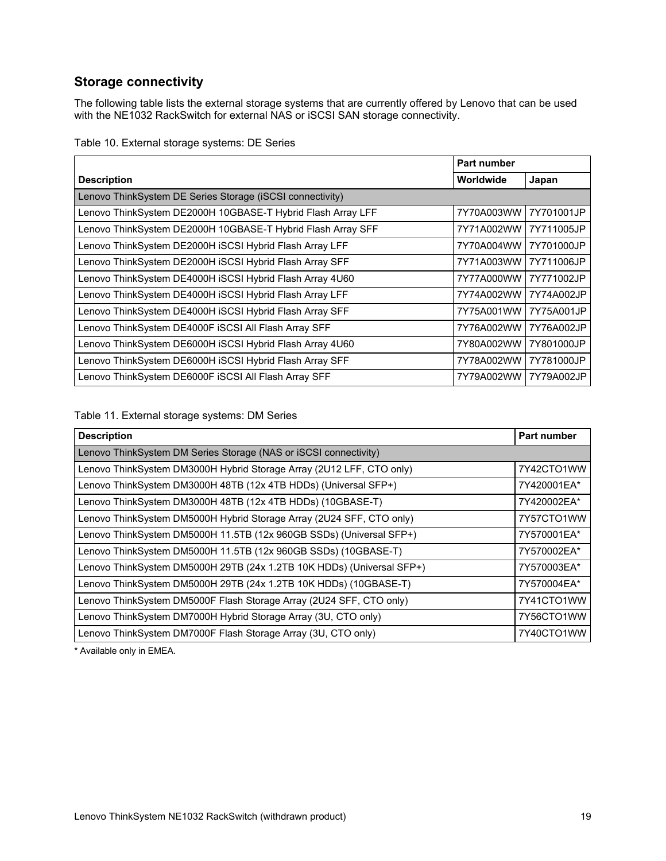# **Storage connectivity**

The following table lists the external storage systems that are currently offered by Lenovo that can be used with the NE1032 RackSwitch for external NAS or iSCSI SAN storage connectivity.

|  |  |  | Table 10. External storage systems: DE Series |  |  |
|--|--|--|-----------------------------------------------|--|--|
|--|--|--|-----------------------------------------------|--|--|

|                                                             | Part number |            |
|-------------------------------------------------------------|-------------|------------|
| <b>Description</b>                                          | Worldwide   | Japan      |
| Lenovo ThinkSystem DE Series Storage (iSCSI connectivity)   |             |            |
| Lenovo ThinkSystem DE2000H 10GBASE-T Hybrid Flash Array LFF | 7Y70A003WW  | 7Y701001JP |
| Lenovo ThinkSystem DE2000H 10GBASE-T Hybrid Flash Array SFF | 7Y71A002WW  | 7Y711005JP |
| Lenovo ThinkSystem DE2000H iSCSI Hybrid Flash Array LFF     | 7Y70A004WW  | 7Y701000JP |
| Lenovo ThinkSystem DE2000H iSCSI Hybrid Flash Array SFF     | 7Y71A003WW  | 7Y711006JP |
| Lenovo ThinkSystem DE4000H iSCSI Hybrid Flash Array 4U60    | 7Y77A000WW  | 7Y771002JP |
| Lenovo ThinkSystem DE4000H iSCSI Hybrid Flash Array LFF     | 7Y74A002WW  | 7Y74A002JP |
| Lenovo ThinkSystem DE4000H iSCSI Hybrid Flash Array SFF     | 7Y75A001WW  | 7Y75A001JP |
| Lenovo ThinkSystem DE4000F ISCSI All Flash Array SFF        | 7Y76A002WW  | 7Y76A002JP |
| Lenovo ThinkSystem DE6000H iSCSI Hybrid Flash Array 4U60    | 7Y80A002WW  | 7Y801000JP |
| Lenovo ThinkSystem DE6000H iSCSI Hybrid Flash Array SFF     | 7Y78A002WW  | 7Y781000JP |
| Lenovo ThinkSystem DE6000F ISCSI All Flash Array SFF        | 7Y79A002WW  | 7Y79A002JP |

#### Table 11. External storage systems: DM Series

| <b>Description</b>                                                    | <b>Part number</b> |
|-----------------------------------------------------------------------|--------------------|
| Lenovo ThinkSystem DM Series Storage (NAS or iSCSI connectivity)      |                    |
| Lenovo ThinkSystem DM3000H Hybrid Storage Array (2U12 LFF, CTO only)  | 7Y42CTO1WW         |
| Lenovo ThinkSystem DM3000H 48TB (12x 4TB HDDs) (Universal SFP+)       | 7Y420001EA*        |
| Lenovo ThinkSystem DM3000H 48TB (12x 4TB HDDs) (10GBASE-T)            | 7Y420002EA*        |
| Lenovo ThinkSystem DM5000H Hybrid Storage Array (2U24 SFF, CTO only)  | 7Y57CTO1WW         |
| Lenovo ThinkSystem DM5000H 11.5TB (12x 960GB SSDs) (Universal SFP+)   | 7Y570001EA*        |
| Lenovo ThinkSystem DM5000H 11.5TB (12x 960GB SSDs) (10GBASE-T)        | 7Y570002EA*        |
| Lenovo ThinkSystem DM5000H 29TB (24x 1.2TB 10K HDDs) (Universal SFP+) | 7Y570003EA*        |
| Lenovo ThinkSystem DM5000H 29TB (24x 1.2TB 10K HDDs) (10GBASE-T)      | 7Y570004EA*        |
| Lenovo ThinkSystem DM5000F Flash Storage Array (2U24 SFF, CTO only)   | 7Y41CTO1WW         |
| Lenovo ThinkSystem DM7000H Hybrid Storage Array (3U, CTO only)        | 7Y56CTO1WW         |
| Lenovo ThinkSystem DM7000F Flash Storage Array (3U, CTO only)         | 7Y40CTO1WW         |

\* Available only in EMEA.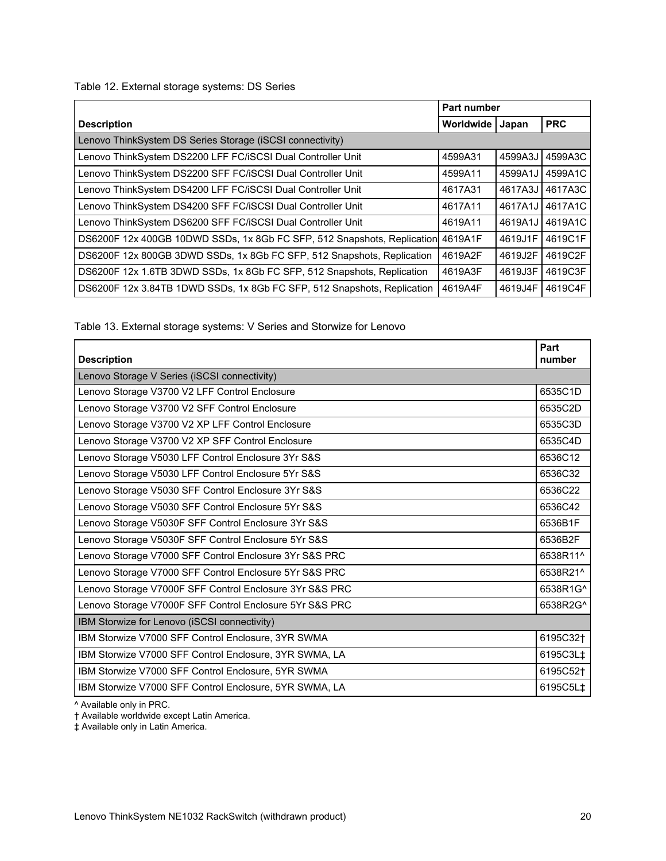Table 12. External storage systems: DS Series

|                                                                                 | Part number |         |            |
|---------------------------------------------------------------------------------|-------------|---------|------------|
| <b>Description</b>                                                              | Worldwide   | Japan   | <b>PRC</b> |
| Lenovo ThinkSystem DS Series Storage (iSCSI connectivity)                       |             |         |            |
| Lenovo ThinkSystem DS2200 LFF FC/iSCSI Dual Controller Unit                     | 4599A31     | 4599A3J | 4599A3C    |
| Lenovo ThinkSystem DS2200 SFF FC/iSCSI Dual Controller Unit                     | 4599A11     | 4599A1J | 4599A1C    |
| Lenovo ThinkSystem DS4200 LFF FC/iSCSI Dual Controller Unit                     | 4617A31     | 4617A3J | 4617A3C    |
| Lenovo ThinkSystem DS4200 SFF FC/iSCSI Dual Controller Unit                     | 4617A11     | 4617A1J | 4617A1C    |
| Lenovo ThinkSystem DS6200 SFF FC/iSCSI Dual Controller Unit                     | 4619A11     | 4619A1J | 4619A1C    |
| DS6200F 12x 400GB 10DWD SSDs, 1x 8Gb FC SFP, 512 Snapshots, Replication 4619A1F |             | 4619J1F | 4619C1F    |
| DS6200F 12x 800GB 3DWD SSDs, 1x 8Gb FC SFP, 512 Snapshots, Replication          | 4619A2F     | 4619J2F | 4619C2F    |
| DS6200F 12x 1.6TB 3DWD SSDs, 1x 8Gb FC SFP, 512 Snapshots, Replication          | 4619A3F     | 4619J3F | 4619C3F    |
| DS6200F 12x 3.84TB 1DWD SSDs, 1x 8Gb FC SFP, 512 Snapshots, Replication         | 4619A4F     | 4619J4F | 4619C4F    |

Table 13. External storage systems: V Series and Storwize for Lenovo

| <b>Description</b>                                      | Part<br>number       |
|---------------------------------------------------------|----------------------|
| Lenovo Storage V Series (iSCSI connectivity)            |                      |
| Lenovo Storage V3700 V2 LFF Control Enclosure           | 6535C1D              |
| Lenovo Storage V3700 V2 SFF Control Enclosure           | 6535C2D              |
| Lenovo Storage V3700 V2 XP LFF Control Enclosure        | 6535C3D              |
| Lenovo Storage V3700 V2 XP SFF Control Enclosure        | 6535C4D              |
| Lenovo Storage V5030 LFF Control Enclosure 3Yr S&S      | 6536C12              |
| Lenovo Storage V5030 LFF Control Enclosure 5Yr S&S      | 6536C32              |
| Lenovo Storage V5030 SFF Control Enclosure 3Yr S&S      | 6536C22              |
| Lenovo Storage V5030 SFF Control Enclosure 5Yr S&S      | 6536C42              |
| Lenovo Storage V5030F SFF Control Enclosure 3Yr S&S     | 6536B1F              |
| Lenovo Storage V5030F SFF Control Enclosure 5Yr S&S     | 6536B2F              |
| Lenovo Storage V7000 SFF Control Enclosure 3Yr S&S PRC  | 6538R11^             |
| Lenovo Storage V7000 SFF Control Enclosure 5Yr S&S PRC  | 6538R21^             |
| Lenovo Storage V7000F SFF Control Enclosure 3Yr S&S PRC | 6538R1G^             |
| Lenovo Storage V7000F SFF Control Enclosure 5Yr S&S PRC | 6538R2G <sup>^</sup> |
| IBM Storwize for Lenovo (iSCSI connectivity)            |                      |
| IBM Storwize V7000 SFF Control Enclosure, 3YR SWMA      | 6195C32 <sup>+</sup> |
| IBM Storwize V7000 SFF Control Enclosure, 3YR SWMA, LA  | 6195C3L‡             |
| IBM Storwize V7000 SFF Control Enclosure, 5YR SWMA      | 6195C52†             |
| IBM Storwize V7000 SFF Control Enclosure, 5YR SWMA, LA  | 6195C5L‡             |

^ Available only in PRC.

† Available worldwide except Latin America.

‡ Available only in Latin America.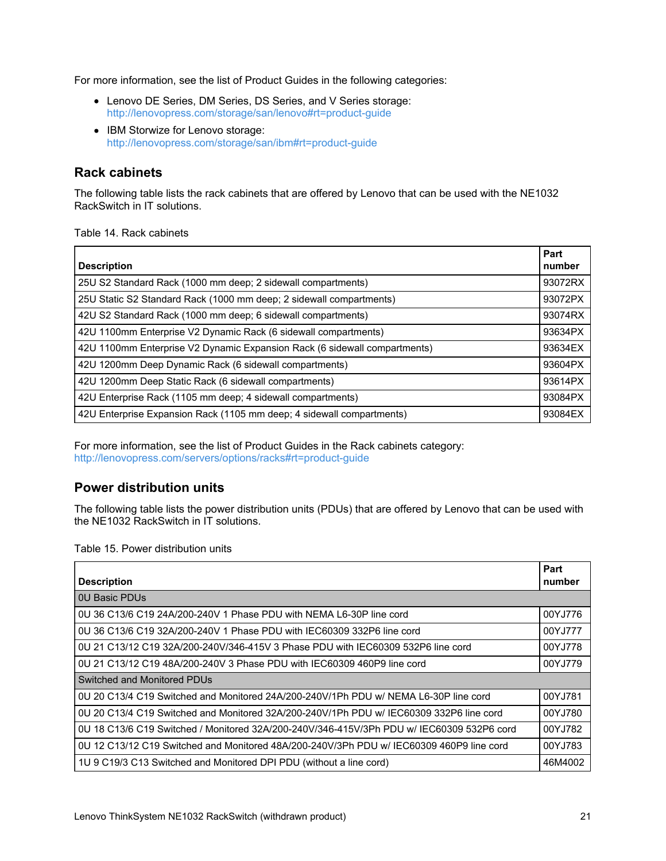For more information, see the list of Product Guides in the following categories:

- Lenovo DE Series, DM Series, DS Series, and V Series storage: <http://lenovopress.com/storage/san/lenovo#rt=product-guide>
- IBM Storwize for Lenovo storage: <http://lenovopress.com/storage/san/ibm#rt=product-guide>

## **Rack cabinets**

The following table lists the rack cabinets that are offered by Lenovo that can be used with the NE1032 RackSwitch in IT solutions.

Table 14. Rack cabinets

| <b>Description</b>                                                        | Part<br>number |
|---------------------------------------------------------------------------|----------------|
| 25U S2 Standard Rack (1000 mm deep; 2 sidewall compartments)              | 93072RX        |
| 25U Static S2 Standard Rack (1000 mm deep; 2 sidewall compartments)       | 93072PX        |
| 42U S2 Standard Rack (1000 mm deep; 6 sidewall compartments)              | 93074RX        |
| 42U 1100mm Enterprise V2 Dynamic Rack (6 sidewall compartments)           | 93634PX        |
| 42U 1100mm Enterprise V2 Dynamic Expansion Rack (6 sidewall compartments) | 93634EX        |
| 42U 1200mm Deep Dynamic Rack (6 sidewall compartments)                    | 93604PX        |
| 42U 1200mm Deep Static Rack (6 sidewall compartments)                     | 93614PX        |
| 42U Enterprise Rack (1105 mm deep; 4 sidewall compartments)               | 93084PX        |
| 42U Enterprise Expansion Rack (1105 mm deep; 4 sidewall compartments)     | 93084EX        |

For more information, see the list of Product Guides in the Rack cabinets category: <http://lenovopress.com/servers/options/racks#rt=product-guide>

## **Power distribution units**

The following table lists the power distribution units (PDUs) that are offered by Lenovo that can be used with the NE1032 RackSwitch in IT solutions.

Table 15. Power distribution units

| <b>Description</b>                                                                        | Part<br>number |
|-------------------------------------------------------------------------------------------|----------------|
| <b>0U Basic PDUs</b>                                                                      |                |
| 0U 36 C13/6 C19 24A/200-240V 1 Phase PDU with NEMA L6-30P line cord                       | 00YJ776        |
| 0U 36 C13/6 C19 32A/200-240V 1 Phase PDU with IEC60309 332P6 line cord                    | 00YJ777        |
| 0U 21 C13/12 C19 32A/200-240V/346-415V 3 Phase PDU with IEC60309 532P6 line cord          | 00YJ778        |
| 0U 21 C13/12 C19 48A/200-240V 3 Phase PDU with IEC60309 460P9 line cord                   | 00YJ779        |
| Switched and Monitored PDUs                                                               |                |
| 0U 20 C13/4 C19 Switched and Monitored 24A/200-240V/1Ph PDU w/ NEMA L6-30P line cord      | 00YJ781        |
| 0U 20 C13/4 C19 Switched and Monitored 32A/200-240V/1Ph PDU w/ IEC60309 332P6 line cord   | 00YJ780        |
| 0U 18 C13/6 C19 Switched / Monitored 32A/200-240V/346-415V/3Ph PDU w/ IEC60309 532P6 cord | 00YJ782        |
| 0U 12 C13/12 C19 Switched and Monitored 48A/200-240V/3Ph PDU w/ IEC60309 460P9 line cord  | 00YJ783        |
| 1U 9 C19/3 C13 Switched and Monitored DPI PDU (without a line cord)                       | 46M4002        |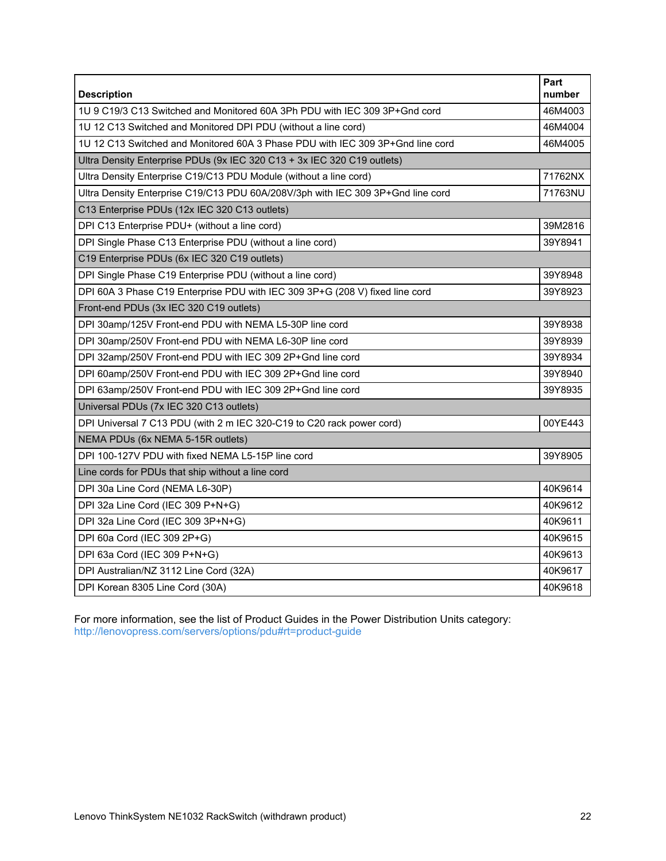| <b>Description</b>                                                              | Part<br>number |
|---------------------------------------------------------------------------------|----------------|
| 1U 9 C19/3 C13 Switched and Monitored 60A 3Ph PDU with IEC 309 3P+Gnd cord      | 46M4003        |
| 1U 12 C13 Switched and Monitored DPI PDU (without a line cord)                  | 46M4004        |
| 1U 12 C13 Switched and Monitored 60A 3 Phase PDU with IEC 309 3P+Gnd line cord  | 46M4005        |
| Ultra Density Enterprise PDUs (9x IEC 320 C13 + 3x IEC 320 C19 outlets)         |                |
| Ultra Density Enterprise C19/C13 PDU Module (without a line cord)               | 71762NX        |
| Ultra Density Enterprise C19/C13 PDU 60A/208V/3ph with IEC 309 3P+Gnd line cord | 71763NU        |
| C13 Enterprise PDUs (12x IEC 320 C13 outlets)                                   |                |
| DPI C13 Enterprise PDU+ (without a line cord)                                   | 39M2816        |
| DPI Single Phase C13 Enterprise PDU (without a line cord)                       | 39Y8941        |
| C19 Enterprise PDUs (6x IEC 320 C19 outlets)                                    |                |
| DPI Single Phase C19 Enterprise PDU (without a line cord)                       | 39Y8948        |
| DPI 60A 3 Phase C19 Enterprise PDU with IEC 309 3P+G (208 V) fixed line cord    | 39Y8923        |
| Front-end PDUs (3x IEC 320 C19 outlets)                                         |                |
| DPI 30amp/125V Front-end PDU with NEMA L5-30P line cord                         | 39Y8938        |
| DPI 30amp/250V Front-end PDU with NEMA L6-30P line cord                         | 39Y8939        |
| DPI 32amp/250V Front-end PDU with IEC 309 2P+Gnd line cord                      | 39Y8934        |
| DPI 60amp/250V Front-end PDU with IEC 309 2P+Gnd line cord                      | 39Y8940        |
| DPI 63amp/250V Front-end PDU with IEC 309 2P+Gnd line cord                      | 39Y8935        |
| Universal PDUs (7x IEC 320 C13 outlets)                                         |                |
| DPI Universal 7 C13 PDU (with 2 m IEC 320-C19 to C20 rack power cord)           | 00YE443        |
| NEMA PDUs (6x NEMA 5-15R outlets)                                               |                |
| DPI 100-127V PDU with fixed NEMA L5-15P line cord                               | 39Y8905        |
| Line cords for PDUs that ship without a line cord                               |                |
| DPI 30a Line Cord (NEMA L6-30P)                                                 | 40K9614        |
| DPI 32a Line Cord (IEC 309 P+N+G)                                               | 40K9612        |
| DPI 32a Line Cord (IEC 309 3P+N+G)                                              | 40K9611        |
| DPI 60a Cord (IEC 309 2P+G)                                                     | 40K9615        |
| DPI 63a Cord (IEC 309 P+N+G)                                                    | 40K9613        |
| DPI Australian/NZ 3112 Line Cord (32A)                                          | 40K9617        |
| DPI Korean 8305 Line Cord (30A)                                                 | 40K9618        |

For more information, see the list of Product Guides in the Power Distribution Units category: <http://lenovopress.com/servers/options/pdu#rt=product-guide>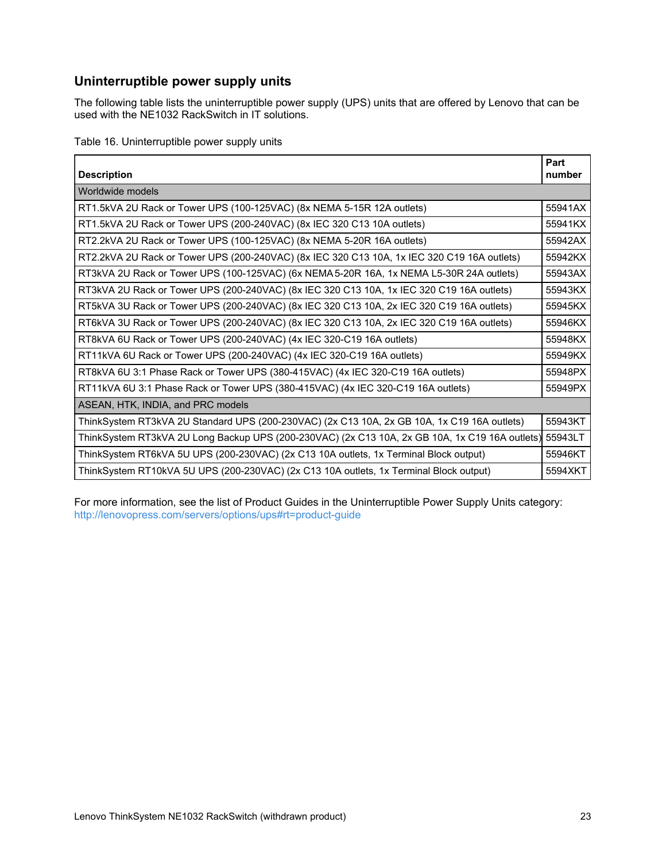# **Uninterruptible power supply units**

The following table lists the uninterruptible power supply (UPS) units that are offered by Lenovo that can be used with the NE1032 RackSwitch in IT solutions.

Table 16. Uninterruptible power supply units

| <b>Description</b>                                                                                     | Part<br>number |
|--------------------------------------------------------------------------------------------------------|----------------|
| Worldwide models                                                                                       |                |
| RT1.5kVA 2U Rack or Tower UPS (100-125VAC) (8x NEMA 5-15R 12A outlets)                                 | 55941AX        |
| RT1.5kVA 2U Rack or Tower UPS (200-240VAC) (8x IEC 320 C13 10A outlets)                                | 55941KX        |
| RT2.2kVA 2U Rack or Tower UPS (100-125VAC) (8x NEMA 5-20R 16A outlets)                                 | 55942AX        |
| RT2.2kVA 2U Rack or Tower UPS (200-240VAC) (8x IEC 320 C13 10A, 1x IEC 320 C19 16A outlets)            | 55942KX        |
| RT3kVA 2U Rack or Tower UPS (100-125VAC) (6x NEMA 5-20R 16A, 1x NEMA L5-30R 24A outlets)               | 55943AX        |
| RT3kVA 2U Rack or Tower UPS (200-240VAC) (8x IEC 320 C13 10A, 1x IEC 320 C19 16A outlets)              | 55943KX        |
| RT5kVA 3U Rack or Tower UPS (200-240VAC) (8x IEC 320 C13 10A, 2x IEC 320 C19 16A outlets)              | 55945KX        |
| RT6kVA 3U Rack or Tower UPS (200-240VAC) (8x IEC 320 C13 10A, 2x IEC 320 C19 16A outlets)              | 55946KX        |
| RT8kVA 6U Rack or Tower UPS (200-240VAC) (4x IEC 320-C19 16A outlets)                                  | 55948KX        |
| RT11kVA 6U Rack or Tower UPS (200-240VAC) (4x IEC 320-C19 16A outlets)                                 | 55949KX        |
| RT8kVA 6U 3:1 Phase Rack or Tower UPS (380-415VAC) (4x IEC 320-C19 16A outlets)                        | 55948PX        |
| RT11kVA 6U 3:1 Phase Rack or Tower UPS (380-415VAC) (4x IEC 320-C19 16A outlets)                       | 55949PX        |
| ASEAN, HTK, INDIA, and PRC models                                                                      |                |
| ThinkSystem RT3kVA 2U Standard UPS (200-230VAC) (2x C13 10A, 2x GB 10A, 1x C19 16A outlets)            | 55943KT        |
| ThinkSystem RT3kVA 2U Long Backup UPS (200-230VAC) (2x C13 10A, 2x GB 10A, 1x C19 16A outlets) 55943LT |                |
| ThinkSystem RT6kVA 5U UPS (200-230VAC) (2x C13 10A outlets, 1x Terminal Block output)                  | 55946KT        |
| ThinkSystem RT10kVA 5U UPS (200-230VAC) (2x C13 10A outlets, 1x Terminal Block output)                 | 5594XKT        |

For more information, see the list of Product Guides in the Uninterruptible Power Supply Units category: <http://lenovopress.com/servers/options/ups#rt=product-guide>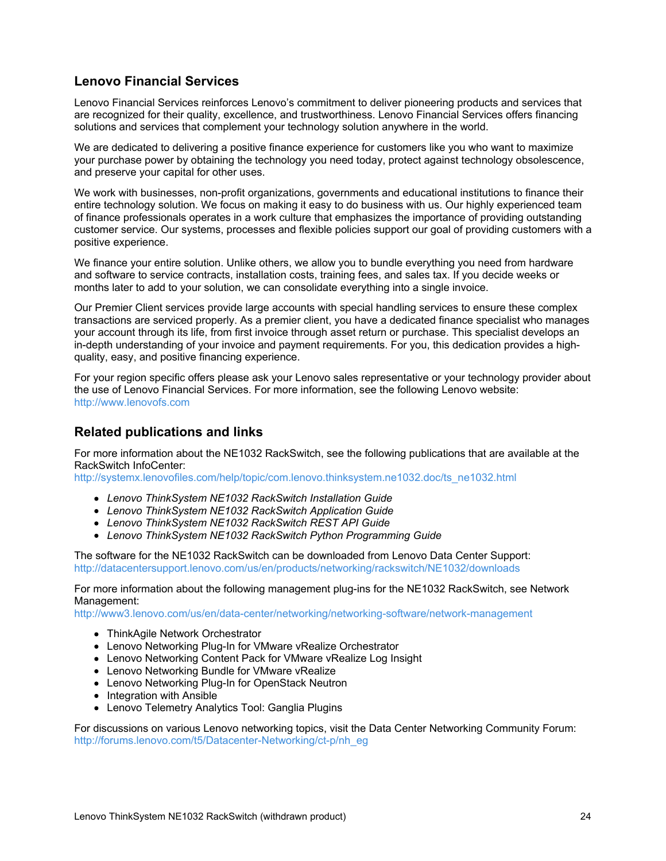# **Lenovo Financial Services**

Lenovo Financial Services reinforces Lenovo's commitment to deliver pioneering products and services that are recognized for their quality, excellence, and trustworthiness. Lenovo Financial Services offers financing solutions and services that complement your technology solution anywhere in the world.

We are dedicated to delivering a positive finance experience for customers like you who want to maximize your purchase power by obtaining the technology you need today, protect against technology obsolescence, and preserve your capital for other uses.

We work with businesses, non-profit organizations, governments and educational institutions to finance their entire technology solution. We focus on making it easy to do business with us. Our highly experienced team of finance professionals operates in a work culture that emphasizes the importance of providing outstanding customer service. Our systems, processes and flexible policies support our goal of providing customers with a positive experience.

We finance your entire solution. Unlike others, we allow you to bundle everything you need from hardware and software to service contracts, installation costs, training fees, and sales tax. If you decide weeks or months later to add to your solution, we can consolidate everything into a single invoice.

Our Premier Client services provide large accounts with special handling services to ensure these complex transactions are serviced properly. As a premier client, you have a dedicated finance specialist who manages your account through its life, from first invoice through asset return or purchase. This specialist develops an in-depth understanding of your invoice and payment requirements. For you, this dedication provides a highquality, easy, and positive financing experience.

For your region specific offers please ask your Lenovo sales representative or your technology provider about the use of Lenovo Financial Services. For more information, see the following Lenovo website: <http://www.lenovofs.com>

#### **Related publications and links**

For more information about the NE1032 RackSwitch, see the following publications that are available at the RackSwitch InfoCenter:

[http://systemx.lenovofiles.com/help/topic/com.lenovo.thinksystem.ne1032.doc/ts\\_ne1032.html](http://systemx.lenovofiles.com/help/topic/com.lenovo.thinksystem.ne1032.doc/ts_ne1032.html)

- *Lenovo ThinkSystem NE1032 RackSwitch Installation Guide*
- *Lenovo ThinkSystem NE1032 RackSwitch Application Guide*
- *Lenovo ThinkSystem NE1032 RackSwitch REST API Guide*
- *Lenovo ThinkSystem NE1032 RackSwitch Python Programming Guide*

The software for the NE1032 RackSwitch can be downloaded from Lenovo Data Center Support: <http://datacentersupport.lenovo.com/us/en/products/networking/rackswitch/NE1032/downloads>

For more information about the following management plug-ins for the NE1032 RackSwitch, see Network Management:

<http://www3.lenovo.com/us/en/data-center/networking/networking-software/network-management>

- ThinkAgile Network Orchestrator
- Lenovo Networking Plug-In for VMware vRealize Orchestrator
- Lenovo Networking Content Pack for VMware vRealize Log Insight
- Lenovo Networking Bundle for VMware vRealize
- Lenovo Networking Plug-In for OpenStack Neutron
- Integration with Ansible
- Lenovo Telemetry Analytics Tool: Ganglia Plugins

For discussions on various Lenovo networking topics, visit the Data Center Networking Community Forum: [http://forums.lenovo.com/t5/Datacenter-Networking/ct-p/nh\\_eg](http://forums.lenovo.com/t5/Datacenter-Networking/ct-p/nh_eg)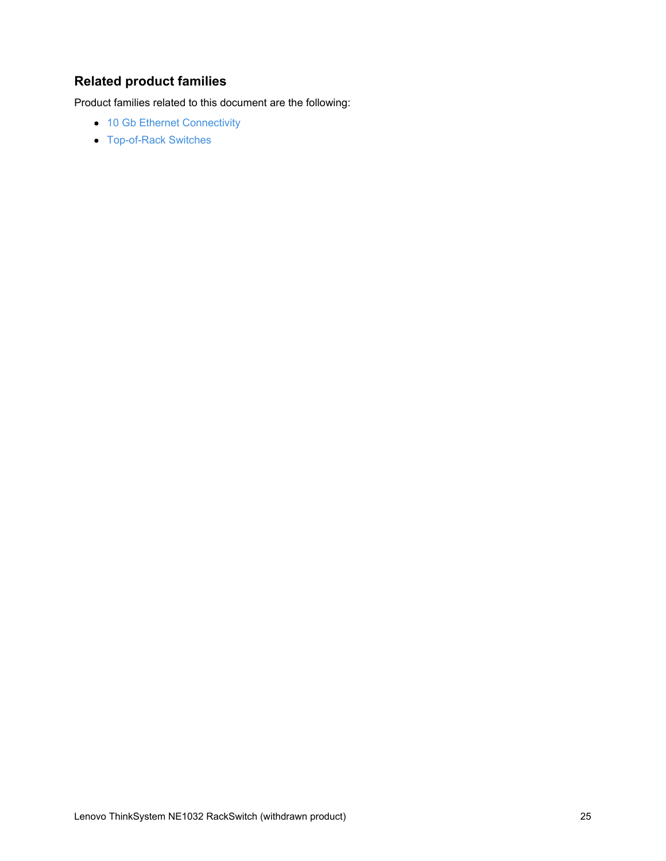# **Related product families**

Product families related to this document are the following:

- 10 Gb Ethernet [Connectivity](https://lenovopress.com/networking/tor/10gb)
- [Top-of-Rack](https://lenovopress.com/servers/options/switches) Switches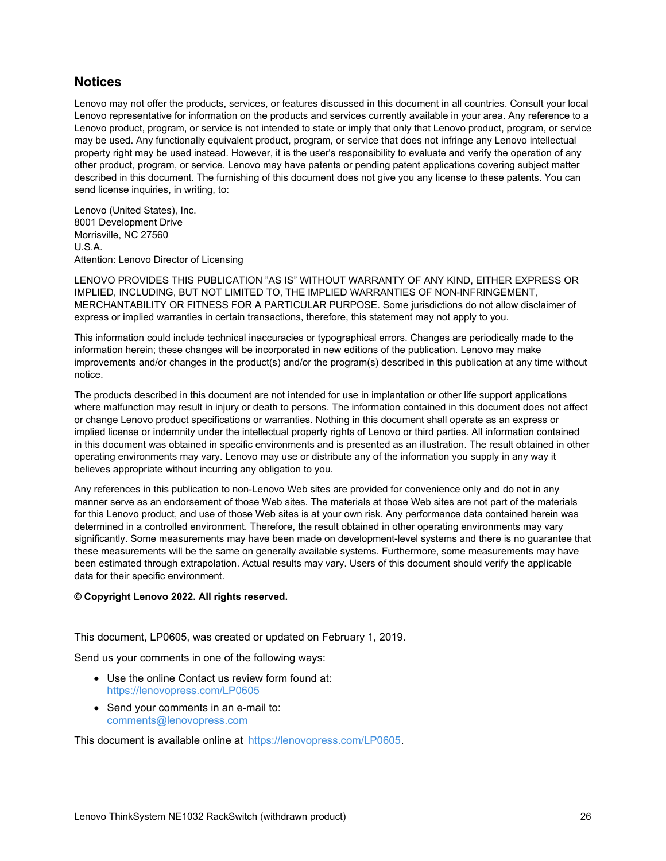#### **Notices**

Lenovo may not offer the products, services, or features discussed in this document in all countries. Consult your local Lenovo representative for information on the products and services currently available in your area. Any reference to a Lenovo product, program, or service is not intended to state or imply that only that Lenovo product, program, or service may be used. Any functionally equivalent product, program, or service that does not infringe any Lenovo intellectual property right may be used instead. However, it is the user's responsibility to evaluate and verify the operation of any other product, program, or service. Lenovo may have patents or pending patent applications covering subject matter described in this document. The furnishing of this document does not give you any license to these patents. You can send license inquiries, in writing, to:

Lenovo (United States), Inc. 8001 Development Drive Morrisville, NC 27560 U.S.A. Attention: Lenovo Director of Licensing

LENOVO PROVIDES THIS PUBLICATION "AS IS" WITHOUT WARRANTY OF ANY KIND, EITHER EXPRESS OR IMPLIED, INCLUDING, BUT NOT LIMITED TO, THE IMPLIED WARRANTIES OF NON-INFRINGEMENT, MERCHANTABILITY OR FITNESS FOR A PARTICULAR PURPOSE. Some jurisdictions do not allow disclaimer of express or implied warranties in certain transactions, therefore, this statement may not apply to you.

This information could include technical inaccuracies or typographical errors. Changes are periodically made to the information herein; these changes will be incorporated in new editions of the publication. Lenovo may make improvements and/or changes in the product(s) and/or the program(s) described in this publication at any time without notice.

The products described in this document are not intended for use in implantation or other life support applications where malfunction may result in injury or death to persons. The information contained in this document does not affect or change Lenovo product specifications or warranties. Nothing in this document shall operate as an express or implied license or indemnity under the intellectual property rights of Lenovo or third parties. All information contained in this document was obtained in specific environments and is presented as an illustration. The result obtained in other operating environments may vary. Lenovo may use or distribute any of the information you supply in any way it believes appropriate without incurring any obligation to you.

Any references in this publication to non-Lenovo Web sites are provided for convenience only and do not in any manner serve as an endorsement of those Web sites. The materials at those Web sites are not part of the materials for this Lenovo product, and use of those Web sites is at your own risk. Any performance data contained herein was determined in a controlled environment. Therefore, the result obtained in other operating environments may vary significantly. Some measurements may have been made on development-level systems and there is no guarantee that these measurements will be the same on generally available systems. Furthermore, some measurements may have been estimated through extrapolation. Actual results may vary. Users of this document should verify the applicable data for their specific environment.

#### **© Copyright Lenovo 2022. All rights reserved.**

This document, LP0605, was created or updated on February 1, 2019.

Send us your comments in one of the following ways:

- Use the online Contact us review form found at: <https://lenovopress.com/LP0605>
- Send your comments in an e-mail to: [comments@lenovopress.com](mailto:comments@lenovopress.com?subject=Feedback for LP0605)

This document is available online at <https://lenovopress.com/LP0605>.